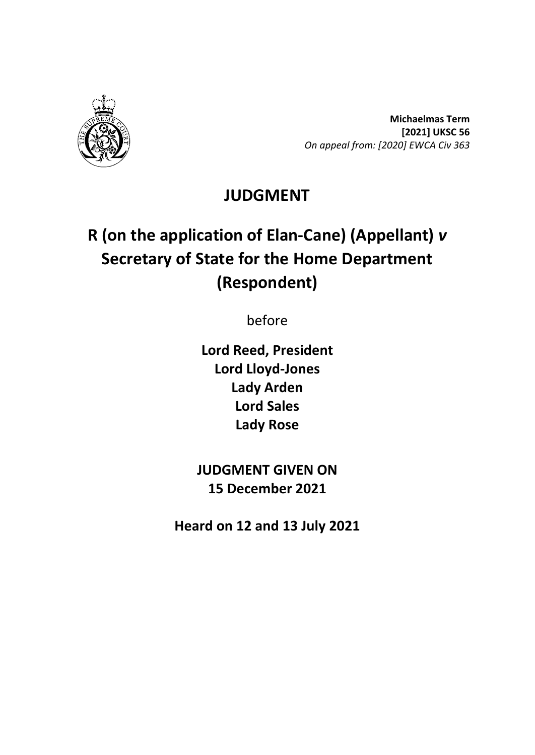

**Michaelmas Term [2021] UKSC 56** *On appeal from: [2020] EWCA Civ 363*

## **JUDGMENT**

# **R (on the application of Elan-Cane) (Appellant)** *v* **Secretary of State for the Home Department (Respondent)**

before

**Lord Reed, President Lord Lloyd-Jones Lady Arden Lord Sales Lady Rose**

**JUDGMENT GIVEN ON 15 December 2021**

**Heard on 12 and 13 July 2021**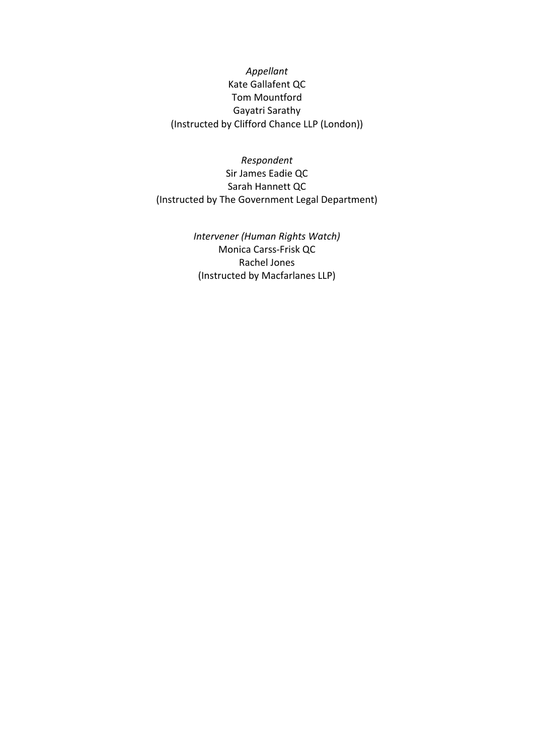*Appellant* Kate Gallafent QC Tom Mountford Gayatri Sarathy (Instructed by Clifford Chance LLP (London))

*Respondent* Sir James Eadie QC Sarah Hannett QC (Instructed by The Government Legal Department)

> *Intervener (Human Rights Watch)* Monica Carss-Frisk QC Rachel Jones (Instructed by Macfarlanes LLP)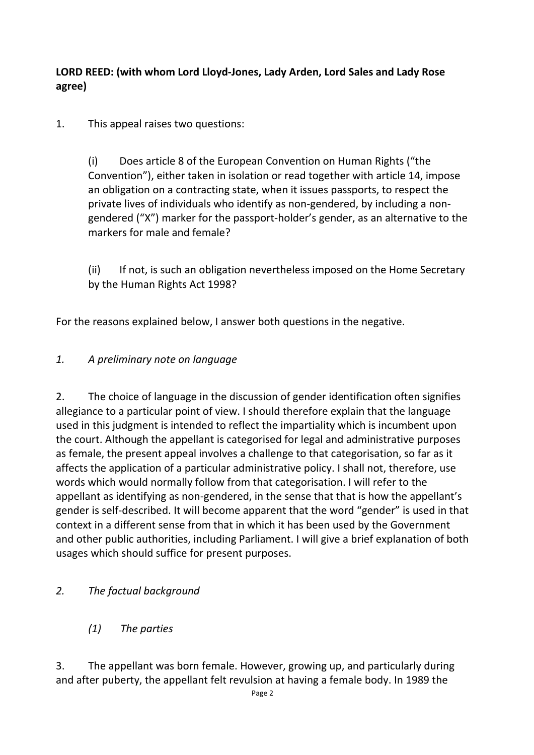**LORD REED: (with whom Lord Lloyd-Jones, Lady Arden, Lord Sales and Lady Rose agree)**

1. This appeal raises two questions:

(i) Does article 8 of the European Convention on Human Rights ("the Convention"), either taken in isolation or read together with article 14, impose an obligation on a contracting state, when it issues passports, to respect the private lives of individuals who identify as non-gendered, by including a nongendered ("X") marker for the passport-holder's gender, as an alternative to the markers for male and female?

(ii) If not, is such an obligation nevertheless imposed on the Home Secretary by the Human Rights Act 1998?

For the reasons explained below, I answer both questions in the negative.

#### *1. A preliminary note on language*

2. The choice of language in the discussion of gender identification often signifies allegiance to a particular point of view. I should therefore explain that the language used in this judgment is intended to reflect the impartiality which is incumbent upon the court. Although the appellant is categorised for legal and administrative purposes as female, the present appeal involves a challenge to that categorisation, so far as it affects the application of a particular administrative policy. I shall not, therefore, use words which would normally follow from that categorisation. I will refer to the appellant as identifying as non-gendered, in the sense that that is how the appellant's gender is self-described. It will become apparent that the word "gender" is used in that context in a different sense from that in which it has been used by the Government and other public authorities, including Parliament. I will give a brief explanation of both usages which should suffice for present purposes.

## *2. The factual background*

*(1) The parties*

3. The appellant was born female. However, growing up, and particularly during and after puberty, the appellant felt revulsion at having a female body. In 1989 the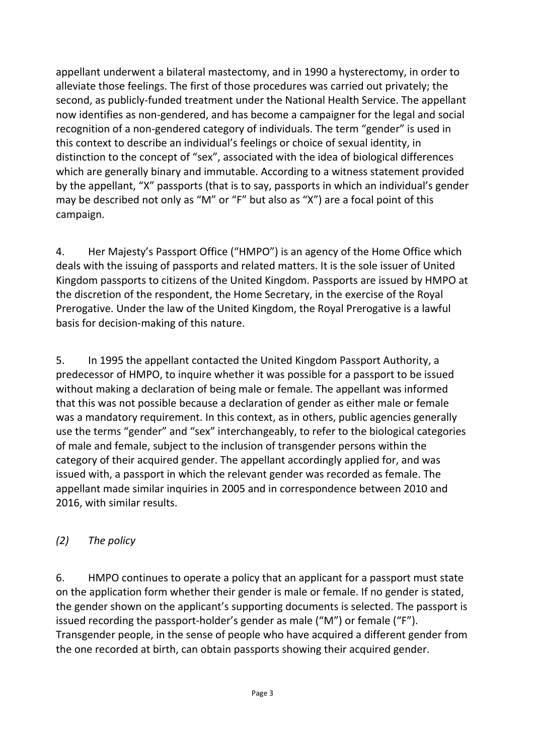appellant underwent a bilateral mastectomy, and in 1990 a hysterectomy, in order to alleviate those feelings. The first of those procedures was carried out privately; the second, as publicly-funded treatment under the National Health Service. The appellant now identifies as non-gendered, and has become a campaigner for the legal and social recognition of a non-gendered category of individuals. The term "gender" is used in this context to describe an individual's feelings or choice of sexual identity, in distinction to the concept of "sex", associated with the idea of biological differences which are generally binary and immutable. According to a witness statement provided by the appellant, "X" passports (that is to say, passports in which an individual's gender may be described not only as "M" or "F" but also as "X") are a focal point of this campaign.

4. Her Majesty's Passport Office ("HMPO") is an agency of the Home Office which deals with the issuing of passports and related matters. It is the sole issuer of United Kingdom passports to citizens of the United Kingdom. Passports are issued by HMPO at the discretion of the respondent, the Home Secretary, in the exercise of the Royal Prerogative. Under the law of the United Kingdom, the Royal Prerogative is a lawful basis for decision-making of this nature.

5. In 1995 the appellant contacted the United Kingdom Passport Authority, a predecessor of HMPO, to inquire whether it was possible for a passport to be issued without making a declaration of being male or female. The appellant was informed that this was not possible because a declaration of gender as either male or female was a mandatory requirement. In this context, as in others, public agencies generally use the terms "gender" and "sex" interchangeably, to refer to the biological categories of male and female, subject to the inclusion of transgender persons within the category of their acquired gender. The appellant accordingly applied for, and was issued with, a passport in which the relevant gender was recorded as female. The appellant made similar inquiries in 2005 and in correspondence between 2010 and 2016, with similar results.

#### *(2) The policy*

6. HMPO continues to operate a policy that an applicant for a passport must state on the application form whether their gender is male or female. If no gender is stated, the gender shown on the applicant's supporting documents is selected. The passport is issued recording the passport-holder's gender as male ("M") or female ("F"). Transgender people, in the sense of people who have acquired a different gender from the one recorded at birth, can obtain passports showing their acquired gender.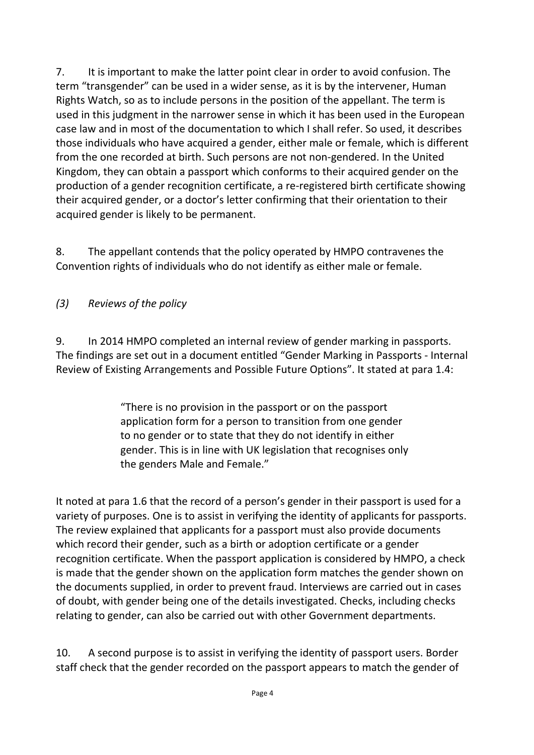7. It is important to make the latter point clear in order to avoid confusion. The term "transgender" can be used in a wider sense, as it is by the intervener, Human Rights Watch, so as to include persons in the position of the appellant. The term is used in this judgment in the narrower sense in which it has been used in the European case law and in most of the documentation to which I shall refer. So used, it describes those individuals who have acquired a gender, either male or female, which is different from the one recorded at birth. Such persons are not non-gendered. In the United Kingdom, they can obtain a passport which conforms to their acquired gender on the production of a gender recognition certificate, a re-registered birth certificate showing their acquired gender, or a doctor's letter confirming that their orientation to their acquired gender is likely to be permanent.

8. The appellant contends that the policy operated by HMPO contravenes the Convention rights of individuals who do not identify as either male or female.

## *(3) Reviews of the policy*

9. In 2014 HMPO completed an internal review of gender marking in passports. The findings are set out in a document entitled "Gender Marking in Passports - Internal Review of Existing Arrangements and Possible Future Options". It stated at para 1.4:

> "There is no provision in the passport or on the passport application form for a person to transition from one gender to no gender or to state that they do not identify in either gender. This is in line with UK legislation that recognises only the genders Male and Female."

It noted at para 1.6 that the record of a person's gender in their passport is used for a variety of purposes. One is to assist in verifying the identity of applicants for passports. The review explained that applicants for a passport must also provide documents which record their gender, such as a birth or adoption certificate or a gender recognition certificate. When the passport application is considered by HMPO, a check is made that the gender shown on the application form matches the gender shown on the documents supplied, in order to prevent fraud. Interviews are carried out in cases of doubt, with gender being one of the details investigated. Checks, including checks relating to gender, can also be carried out with other Government departments.

10. A second purpose is to assist in verifying the identity of passport users. Border staff check that the gender recorded on the passport appears to match the gender of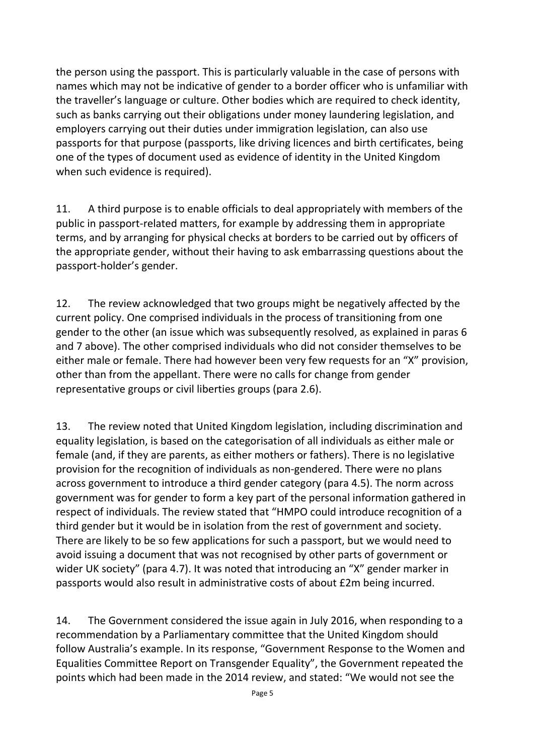the person using the passport. This is particularly valuable in the case of persons with names which may not be indicative of gender to a border officer who is unfamiliar with the traveller's language or culture. Other bodies which are required to check identity, such as banks carrying out their obligations under money laundering legislation, and employers carrying out their duties under immigration legislation, can also use passports for that purpose (passports, like driving licences and birth certificates, being one of the types of document used as evidence of identity in the United Kingdom when such evidence is required).

11. A third purpose is to enable officials to deal appropriately with members of the public in passport-related matters, for example by addressing them in appropriate terms, and by arranging for physical checks at borders to be carried out by officers of the appropriate gender, without their having to ask embarrassing questions about the passport-holder's gender.

12. The review acknowledged that two groups might be negatively affected by the current policy. One comprised individuals in the process of transitioning from one gender to the other (an issue which was subsequently resolved, as explained in paras 6 and 7 above). The other comprised individuals who did not consider themselves to be either male or female. There had however been very few requests for an "X" provision, other than from the appellant. There were no calls for change from gender representative groups or civil liberties groups (para 2.6).

13. The review noted that United Kingdom legislation, including discrimination and equality legislation, is based on the categorisation of all individuals as either male or female (and, if they are parents, as either mothers or fathers). There is no legislative provision for the recognition of individuals as non-gendered. There were no plans across government to introduce a third gender category (para 4.5). The norm across government was for gender to form a key part of the personal information gathered in respect of individuals. The review stated that "HMPO could introduce recognition of a third gender but it would be in isolation from the rest of government and society. There are likely to be so few applications for such a passport, but we would need to avoid issuing a document that was not recognised by other parts of government or wider UK society" (para 4.7). It was noted that introducing an "X" gender marker in passports would also result in administrative costs of about £2m being incurred.

14. The Government considered the issue again in July 2016, when responding to a recommendation by a Parliamentary committee that the United Kingdom should follow Australia's example. In its response, "Government Response to the Women and Equalities Committee Report on Transgender Equality", the Government repeated the points which had been made in the 2014 review, and stated: "We would not see the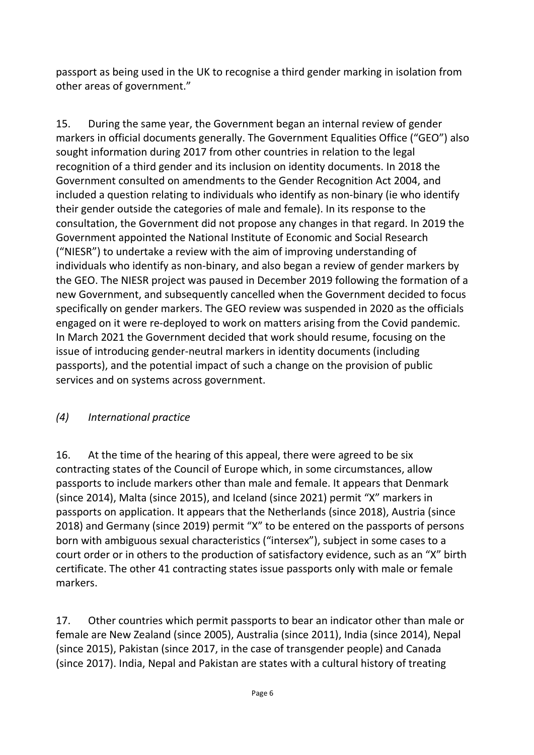passport as being used in the UK to recognise a third gender marking in isolation from other areas of government."

15. During the same year, the Government began an internal review of gender markers in official documents generally. The Government Equalities Office ("GEO") also sought information during 2017 from other countries in relation to the legal recognition of a third gender and its inclusion on identity documents. In 2018 the Government consulted on amendments to the Gender Recognition Act 2004, and included a question relating to individuals who identify as non-binary (ie who identify their gender outside the categories of male and female). In its response to the consultation, the Government did not propose any changes in that regard. In 2019 the Government appointed the National Institute of Economic and Social Research ("NIESR") to undertake a review with the aim of improving understanding of individuals who identify as non-binary, and also began a review of gender markers by the GEO. The NIESR project was paused in December 2019 following the formation of a new Government, and subsequently cancelled when the Government decided to focus specifically on gender markers. The GEO review was suspended in 2020 as the officials engaged on it were re-deployed to work on matters arising from the Covid pandemic. In March 2021 the Government decided that work should resume, focusing on the issue of introducing gender-neutral markers in identity documents (including passports), and the potential impact of such a change on the provision of public services and on systems across government.

#### *(4) International practice*

16. At the time of the hearing of this appeal, there were agreed to be six contracting states of the Council of Europe which, in some circumstances, allow passports to include markers other than male and female. It appears that Denmark (since 2014), Malta (since 2015), and Iceland (since 2021) permit "X" markers in passports on application. It appears that the Netherlands (since 2018), Austria (since 2018) and Germany (since 2019) permit "X" to be entered on the passports of persons born with ambiguous sexual characteristics ("intersex"), subject in some cases to a court order or in others to the production of satisfactory evidence, such as an "X" birth certificate. The other 41 contracting states issue passports only with male or female markers.

17. Other countries which permit passports to bear an indicator other than male or female are New Zealand (since 2005), Australia (since 2011), India (since 2014), Nepal (since 2015), Pakistan (since 2017, in the case of transgender people) and Canada (since 2017). India, Nepal and Pakistan are states with a cultural history of treating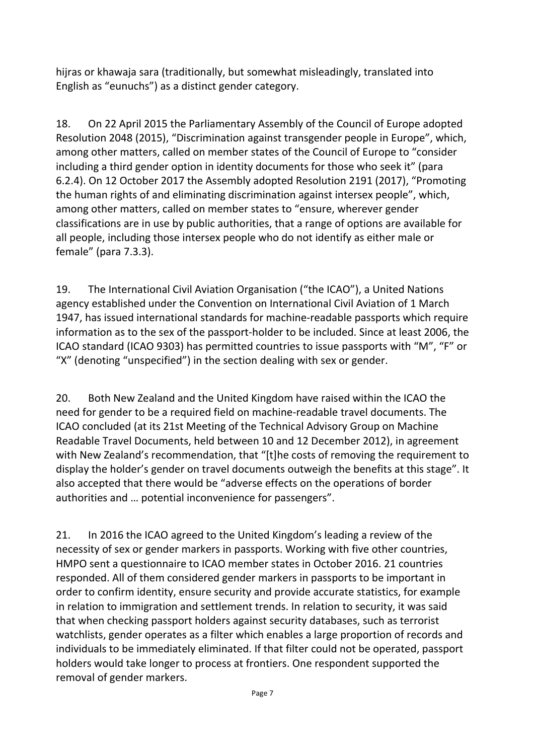hijras or khawaja sara (traditionally, but somewhat misleadingly, translated into English as "eunuchs") as a distinct gender category.

18. On 22 April 2015 the Parliamentary Assembly of the Council of Europe adopted Resolution 2048 (2015), "Discrimination against transgender people in Europe", which, among other matters, called on member states of the Council of Europe to "consider including a third gender option in identity documents for those who seek it" (para 6.2.4). On 12 October 2017 the Assembly adopted Resolution 2191 (2017), "Promoting the human rights of and eliminating discrimination against intersex people", which, among other matters, called on member states to "ensure, wherever gender classifications are in use by public authorities, that a range of options are available for all people, including those intersex people who do not identify as either male or female" (para 7.3.3).

19. The International Civil Aviation Organisation ("the ICAO"), a United Nations agency established under the Convention on International Civil Aviation of 1 March 1947, has issued international standards for machine-readable passports which require information as to the sex of the passport-holder to be included. Since at least 2006, the ICAO standard (ICAO 9303) has permitted countries to issue passports with "M", "F" or "X" (denoting "unspecified") in the section dealing with sex or gender.

20. Both New Zealand and the United Kingdom have raised within the ICAO the need for gender to be a required field on machine-readable travel documents. The ICAO concluded (at its 21st Meeting of the Technical Advisory Group on Machine Readable Travel Documents, held between 10 and 12 December 2012), in agreement with New Zealand's recommendation, that "[t]he costs of removing the requirement to display the holder's gender on travel documents outweigh the benefits at this stage". It also accepted that there would be "adverse effects on the operations of border authorities and … potential inconvenience for passengers".

21. In 2016 the ICAO agreed to the United Kingdom's leading a review of the necessity of sex or gender markers in passports. Working with five other countries, HMPO sent a questionnaire to ICAO member states in October 2016. 21 countries responded. All of them considered gender markers in passports to be important in order to confirm identity, ensure security and provide accurate statistics, for example in relation to immigration and settlement trends. In relation to security, it was said that when checking passport holders against security databases, such as terrorist watchlists, gender operates as a filter which enables a large proportion of records and individuals to be immediately eliminated. If that filter could not be operated, passport holders would take longer to process at frontiers. One respondent supported the removal of gender markers.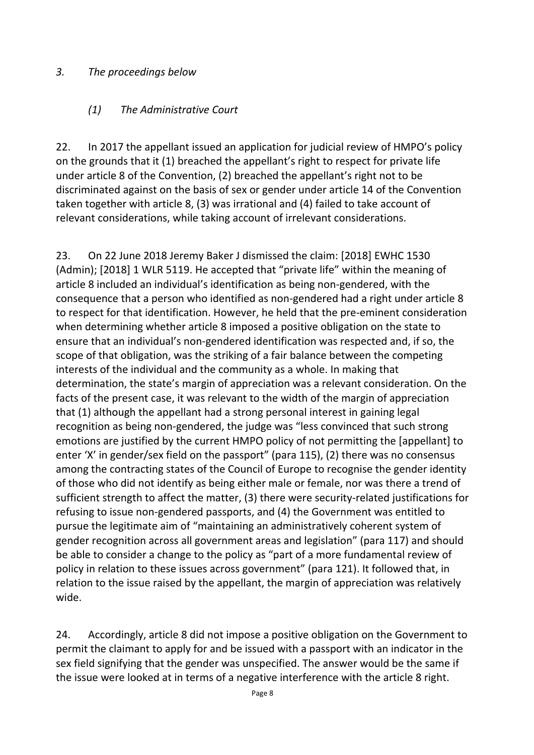#### *3. The proceedings below*

#### *(1) The Administrative Court*

22. In 2017 the appellant issued an application for judicial review of HMPO's policy on the grounds that it (1) breached the appellant's right to respect for private life under article 8 of the Convention, (2) breached the appellant's right not to be discriminated against on the basis of sex or gender under article 14 of the Convention taken together with article 8, (3) was irrational and (4) failed to take account of relevant considerations, while taking account of irrelevant considerations.

23. On 22 June 2018 Jeremy Baker J dismissed the claim: [2018] EWHC 1530 (Admin); [2018] 1 WLR 5119. He accepted that "private life" within the meaning of article 8 included an individual's identification as being non-gendered, with the consequence that a person who identified as non-gendered had a right under article 8 to respect for that identification. However, he held that the pre-eminent consideration when determining whether article 8 imposed a positive obligation on the state to ensure that an individual's non-gendered identification was respected and, if so, the scope of that obligation, was the striking of a fair balance between the competing interests of the individual and the community as a whole. In making that determination, the state's margin of appreciation was a relevant consideration. On the facts of the present case, it was relevant to the width of the margin of appreciation that (1) although the appellant had a strong personal interest in gaining legal recognition as being non-gendered, the judge was "less convinced that such strong emotions are justified by the current HMPO policy of not permitting the [appellant] to enter 'X' in gender/sex field on the passport" (para 115), (2) there was no consensus among the contracting states of the Council of Europe to recognise the gender identity of those who did not identify as being either male or female, nor was there a trend of sufficient strength to affect the matter, (3) there were security-related justifications for refusing to issue non-gendered passports, and (4) the Government was entitled to pursue the legitimate aim of "maintaining an administratively coherent system of gender recognition across all government areas and legislation" (para 117) and should be able to consider a change to the policy as "part of a more fundamental review of policy in relation to these issues across government" (para 121). It followed that, in relation to the issue raised by the appellant, the margin of appreciation was relatively wide.

24. Accordingly, article 8 did not impose a positive obligation on the Government to permit the claimant to apply for and be issued with a passport with an indicator in the sex field signifying that the gender was unspecified. The answer would be the same if the issue were looked at in terms of a negative interference with the article 8 right.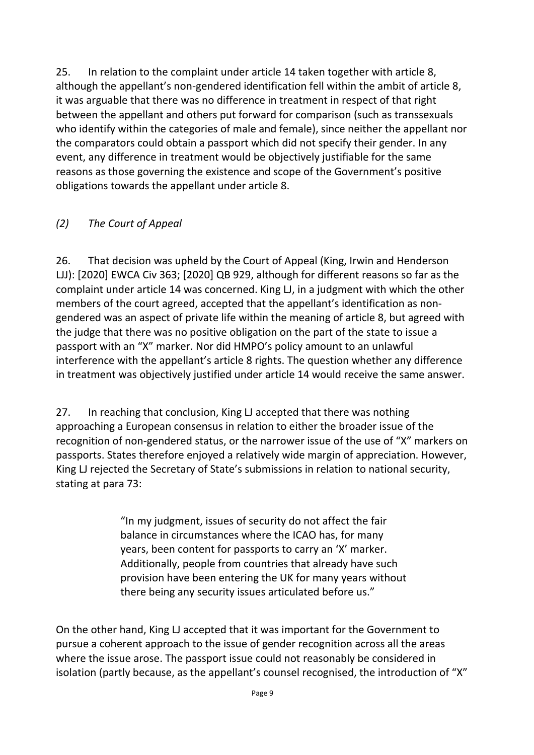25. In relation to the complaint under article 14 taken together with article 8, although the appellant's non-gendered identification fell within the ambit of article 8, it was arguable that there was no difference in treatment in respect of that right between the appellant and others put forward for comparison (such as transsexuals who identify within the categories of male and female), since neither the appellant nor the comparators could obtain a passport which did not specify their gender. In any event, any difference in treatment would be objectively justifiable for the same reasons as those governing the existence and scope of the Government's positive obligations towards the appellant under article 8.

## *(2) The Court of Appeal*

26. That decision was upheld by the Court of Appeal (King, Irwin and Henderson LJJ): [2020] EWCA Civ 363; [2020] QB 929, although for different reasons so far as the complaint under article 14 was concerned. King LJ, in a judgment with which the other members of the court agreed, accepted that the appellant's identification as nongendered was an aspect of private life within the meaning of article 8, but agreed with the judge that there was no positive obligation on the part of the state to issue a passport with an "X" marker. Nor did HMPO's policy amount to an unlawful interference with the appellant's article 8 rights. The question whether any difference in treatment was objectively justified under article 14 would receive the same answer.

27. In reaching that conclusion, King LJ accepted that there was nothing approaching a European consensus in relation to either the broader issue of the recognition of non-gendered status, or the narrower issue of the use of "X" markers on passports. States therefore enjoyed a relatively wide margin of appreciation. However, King LJ rejected the Secretary of State's submissions in relation to national security, stating at para 73:

> "In my judgment, issues of security do not affect the fair balance in circumstances where the ICAO has, for many years, been content for passports to carry an 'X' marker. Additionally, people from countries that already have such provision have been entering the UK for many years without there being any security issues articulated before us."

On the other hand, King LJ accepted that it was important for the Government to pursue a coherent approach to the issue of gender recognition across all the areas where the issue arose. The passport issue could not reasonably be considered in isolation (partly because, as the appellant's counsel recognised, the introduction of "X"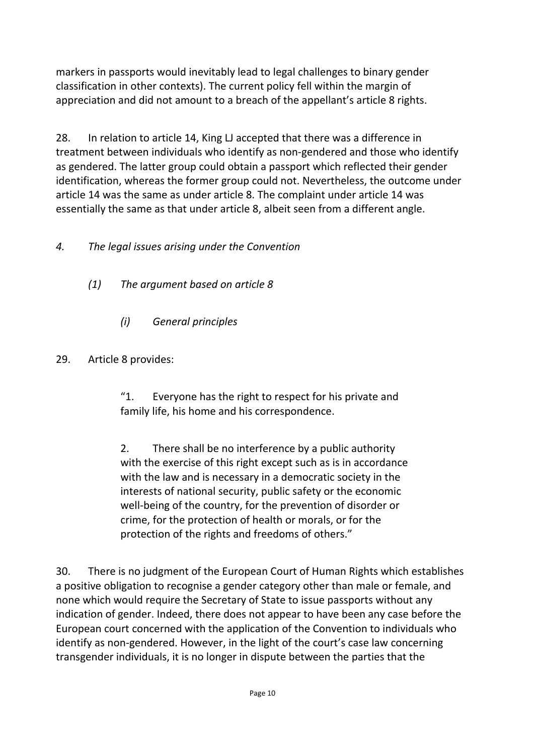markers in passports would inevitably lead to legal challenges to binary gender classification in other contexts). The current policy fell within the margin of appreciation and did not amount to a breach of the appellant's article 8 rights.

28. In relation to article 14, King LJ accepted that there was a difference in treatment between individuals who identify as non-gendered and those who identify as gendered. The latter group could obtain a passport which reflected their gender identification, whereas the former group could not. Nevertheless, the outcome under article 14 was the same as under article 8. The complaint under article 14 was essentially the same as that under article 8, albeit seen from a different angle.

## *4. The legal issues arising under the Convention*

- *(1) The argument based on article 8*
	- *(i) General principles*
- 29. Article 8 provides:

"1. Everyone has the right to respect for his private and family life, his home and his correspondence.

2. There shall be no interference by a public authority with the exercise of this right except such as is in accordance with the law and is necessary in a democratic society in the interests of national security, public safety or the economic well-being of the country, for the prevention of disorder or crime, for the protection of health or morals, or for the protection of the rights and freedoms of others."

30. There is no judgment of the European Court of Human Rights which establishes a positive obligation to recognise a gender category other than male or female, and none which would require the Secretary of State to issue passports without any indication of gender. Indeed, there does not appear to have been any case before the European court concerned with the application of the Convention to individuals who identify as non-gendered. However, in the light of the court's case law concerning transgender individuals, it is no longer in dispute between the parties that the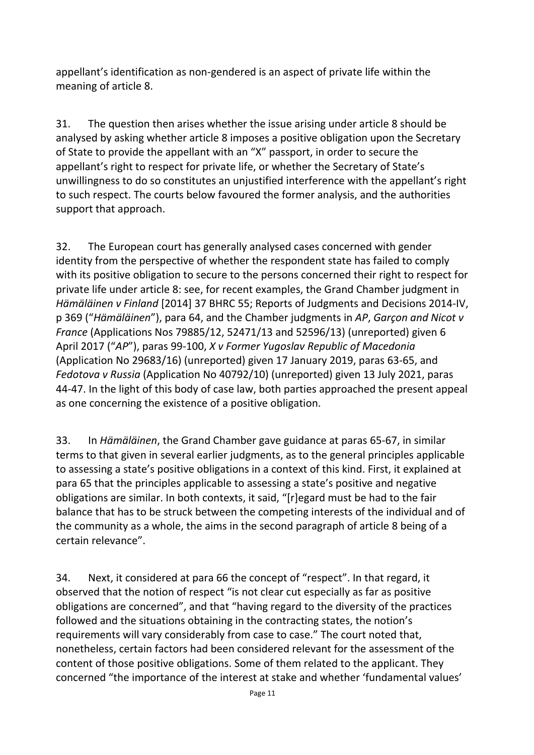appellant's identification as non-gendered is an aspect of private life within the meaning of article 8.

31. The question then arises whether the issue arising under article 8 should be analysed by asking whether article 8 imposes a positive obligation upon the Secretary of State to provide the appellant with an "X" passport, in order to secure the appellant's right to respect for private life, or whether the Secretary of State's unwillingness to do so constitutes an unjustified interference with the appellant's right to such respect. The courts below favoured the former analysis, and the authorities support that approach.

32. The European court has generally analysed cases concerned with gender identity from the perspective of whether the respondent state has failed to comply with its positive obligation to secure to the persons concerned their right to respect for private life under article 8: see, for recent examples, the Grand Chamber judgment in *Hämäläinen v Finland* [2014] 37 BHRC 55; Reports of Judgments and Decisions 2014-IV, p 369 ("*Hämäläinen*"), para 64, and the Chamber judgments in *AP*, *Garçon and Nicot v France* (Applications Nos 79885/12, 52471/13 and 52596/13) (unreported) given 6 April 2017 ("*AP*"), paras 99-100, *X v Former Yugoslav Republic of Macedonia* (Application No 29683/16) (unreported) given 17 January 2019, paras 63-65, and *Fedotova v Russia* (Application No 40792/10) (unreported) given 13 July 2021, paras 44-47. In the light of this body of case law, both parties approached the present appeal as one concerning the existence of a positive obligation.

33. In *Hämäläinen*, the Grand Chamber gave guidance at paras 65-67, in similar terms to that given in several earlier judgments, as to the general principles applicable to assessing a state's positive obligations in a context of this kind. First, it explained at para 65 that the principles applicable to assessing a state's positive and negative obligations are similar. In both contexts, it said, "[r]egard must be had to the fair balance that has to be struck between the competing interests of the individual and of the community as a whole, the aims in the second paragraph of article 8 being of a certain relevance".

34. Next, it considered at para 66 the concept of "respect". In that regard, it observed that the notion of respect "is not clear cut especially as far as positive obligations are concerned", and that "having regard to the diversity of the practices followed and the situations obtaining in the contracting states, the notion's requirements will vary considerably from case to case." The court noted that, nonetheless, certain factors had been considered relevant for the assessment of the content of those positive obligations. Some of them related to the applicant. They concerned "the importance of the interest at stake and whether 'fundamental values'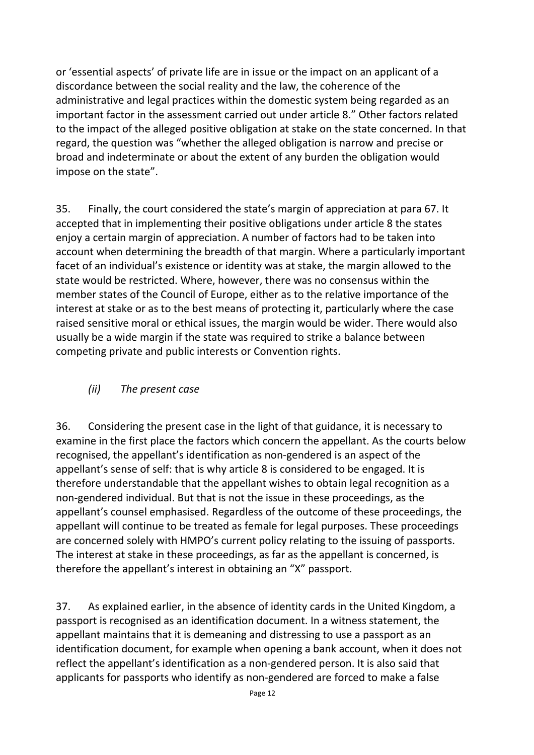or 'essential aspects' of private life are in issue or the impact on an applicant of a discordance between the social reality and the law, the coherence of the administrative and legal practices within the domestic system being regarded as an important factor in the assessment carried out under article 8." Other factors related to the impact of the alleged positive obligation at stake on the state concerned. In that regard, the question was "whether the alleged obligation is narrow and precise or broad and indeterminate or about the extent of any burden the obligation would impose on the state".

35. Finally, the court considered the state's margin of appreciation at para 67. It accepted that in implementing their positive obligations under article 8 the states enjoy a certain margin of appreciation. A number of factors had to be taken into account when determining the breadth of that margin. Where a particularly important facet of an individual's existence or identity was at stake, the margin allowed to the state would be restricted. Where, however, there was no consensus within the member states of the Council of Europe, either as to the relative importance of the interest at stake or as to the best means of protecting it, particularly where the case raised sensitive moral or ethical issues, the margin would be wider. There would also usually be a wide margin if the state was required to strike a balance between competing private and public interests or Convention rights.

#### *(ii) The present case*

36. Considering the present case in the light of that guidance, it is necessary to examine in the first place the factors which concern the appellant. As the courts below recognised, the appellant's identification as non-gendered is an aspect of the appellant's sense of self: that is why article 8 is considered to be engaged. It is therefore understandable that the appellant wishes to obtain legal recognition as a non-gendered individual. But that is not the issue in these proceedings, as the appellant's counsel emphasised. Regardless of the outcome of these proceedings, the appellant will continue to be treated as female for legal purposes. These proceedings are concerned solely with HMPO's current policy relating to the issuing of passports. The interest at stake in these proceedings, as far as the appellant is concerned, is therefore the appellant's interest in obtaining an "X" passport.

37. As explained earlier, in the absence of identity cards in the United Kingdom, a passport is recognised as an identification document. In a witness statement, the appellant maintains that it is demeaning and distressing to use a passport as an identification document, for example when opening a bank account, when it does not reflect the appellant's identification as a non-gendered person. It is also said that applicants for passports who identify as non-gendered are forced to make a false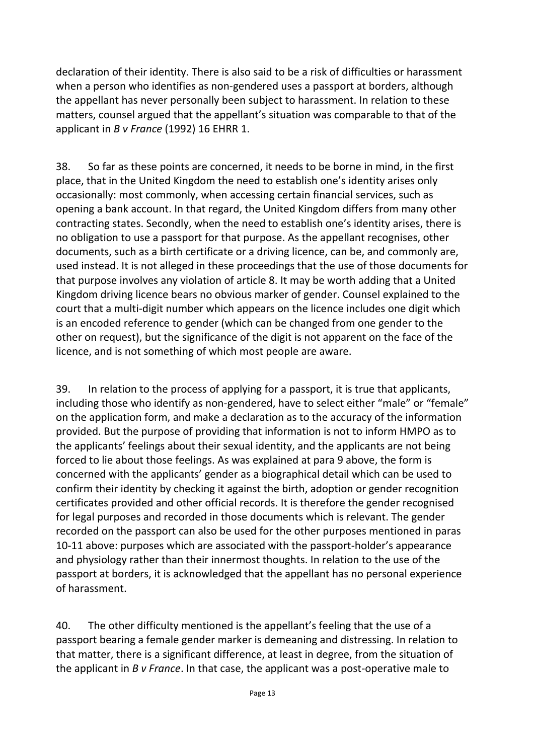declaration of their identity. There is also said to be a risk of difficulties or harassment when a person who identifies as non-gendered uses a passport at borders, although the appellant has never personally been subject to harassment. In relation to these matters, counsel argued that the appellant's situation was comparable to that of the applicant in *B v France* (1992) 16 EHRR 1.

38. So far as these points are concerned, it needs to be borne in mind, in the first place, that in the United Kingdom the need to establish one's identity arises only occasionally: most commonly, when accessing certain financial services, such as opening a bank account. In that regard, the United Kingdom differs from many other contracting states. Secondly, when the need to establish one's identity arises, there is no obligation to use a passport for that purpose. As the appellant recognises, other documents, such as a birth certificate or a driving licence, can be, and commonly are, used instead. It is not alleged in these proceedings that the use of those documents for that purpose involves any violation of article 8. It may be worth adding that a United Kingdom driving licence bears no obvious marker of gender. Counsel explained to the court that a multi-digit number which appears on the licence includes one digit which is an encoded reference to gender (which can be changed from one gender to the other on request), but the significance of the digit is not apparent on the face of the licence, and is not something of which most people are aware.

39. In relation to the process of applying for a passport, it is true that applicants, including those who identify as non-gendered, have to select either "male" or "female" on the application form, and make a declaration as to the accuracy of the information provided. But the purpose of providing that information is not to inform HMPO as to the applicants' feelings about their sexual identity, and the applicants are not being forced to lie about those feelings. As was explained at para 9 above, the form is concerned with the applicants' gender as a biographical detail which can be used to confirm their identity by checking it against the birth, adoption or gender recognition certificates provided and other official records. It is therefore the gender recognised for legal purposes and recorded in those documents which is relevant. The gender recorded on the passport can also be used for the other purposes mentioned in paras 10-11 above: purposes which are associated with the passport-holder's appearance and physiology rather than their innermost thoughts. In relation to the use of the passport at borders, it is acknowledged that the appellant has no personal experience of harassment.

40. The other difficulty mentioned is the appellant's feeling that the use of a passport bearing a female gender marker is demeaning and distressing. In relation to that matter, there is a significant difference, at least in degree, from the situation of the applicant in *B v France*. In that case, the applicant was a post-operative male to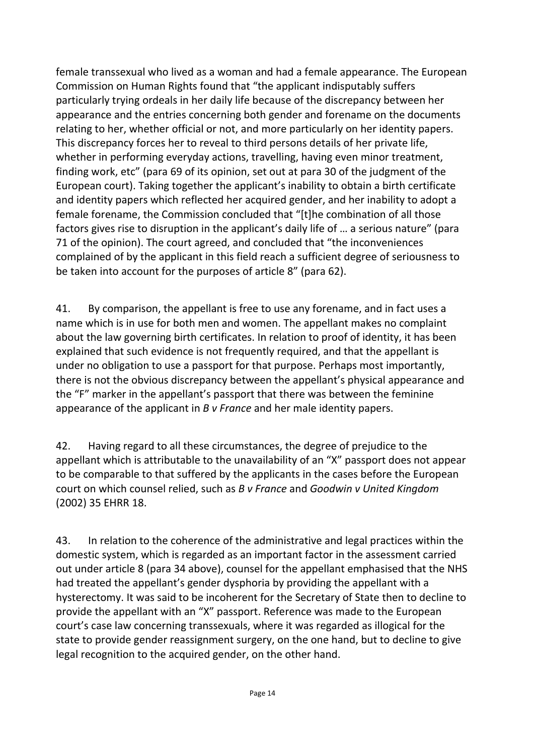female transsexual who lived as a woman and had a female appearance. The European Commission on Human Rights found that "the applicant indisputably suffers particularly trying ordeals in her daily life because of the discrepancy between her appearance and the entries concerning both gender and forename on the documents relating to her, whether official or not, and more particularly on her identity papers. This discrepancy forces her to reveal to third persons details of her private life, whether in performing everyday actions, travelling, having even minor treatment, finding work, etc" (para 69 of its opinion, set out at para 30 of the judgment of the European court). Taking together the applicant's inability to obtain a birth certificate and identity papers which reflected her acquired gender, and her inability to adopt a female forename, the Commission concluded that "[t]he combination of all those factors gives rise to disruption in the applicant's daily life of … a serious nature" (para 71 of the opinion). The court agreed, and concluded that "the inconveniences complained of by the applicant in this field reach a sufficient degree of seriousness to be taken into account for the purposes of article 8" (para 62).

41. By comparison, the appellant is free to use any forename, and in fact uses a name which is in use for both men and women. The appellant makes no complaint about the law governing birth certificates. In relation to proof of identity, it has been explained that such evidence is not frequently required, and that the appellant is under no obligation to use a passport for that purpose. Perhaps most importantly, there is not the obvious discrepancy between the appellant's physical appearance and the "F" marker in the appellant's passport that there was between the feminine appearance of the applicant in *B v France* and her male identity papers.

42. Having regard to all these circumstances, the degree of prejudice to the appellant which is attributable to the unavailability of an "X" passport does not appear to be comparable to that suffered by the applicants in the cases before the European court on which counsel relied, such as *B v France* and *Goodwin v United Kingdom* (2002) 35 EHRR 18.

43. In relation to the coherence of the administrative and legal practices within the domestic system, which is regarded as an important factor in the assessment carried out under article 8 (para 34 above), counsel for the appellant emphasised that the NHS had treated the appellant's gender dysphoria by providing the appellant with a hysterectomy. It was said to be incoherent for the Secretary of State then to decline to provide the appellant with an "X" passport. Reference was made to the European court's case law concerning transsexuals, where it was regarded as illogical for the state to provide gender reassignment surgery, on the one hand, but to decline to give legal recognition to the acquired gender, on the other hand.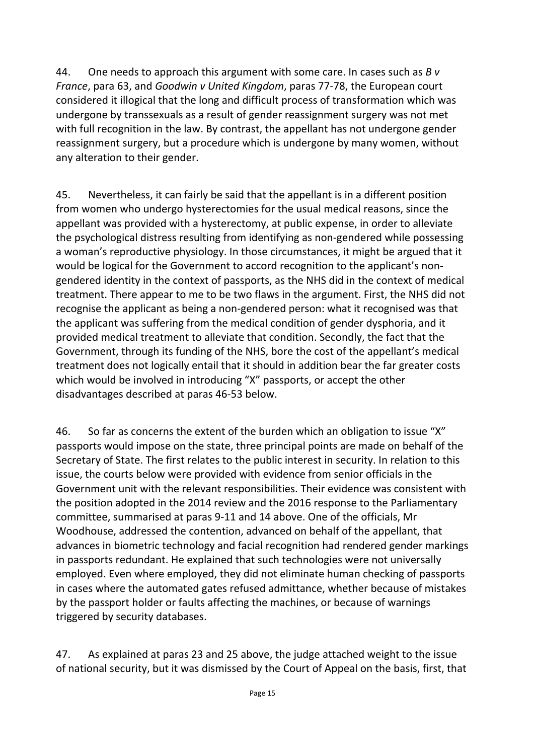44. One needs to approach this argument with some care. In cases such as *B v France*, para 63, and *Goodwin v United Kingdom*, paras 77-78, the European court considered it illogical that the long and difficult process of transformation which was undergone by transsexuals as a result of gender reassignment surgery was not met with full recognition in the law. By contrast, the appellant has not undergone gender reassignment surgery, but a procedure which is undergone by many women, without any alteration to their gender.

45. Nevertheless, it can fairly be said that the appellant is in a different position from women who undergo hysterectomies for the usual medical reasons, since the appellant was provided with a hysterectomy, at public expense, in order to alleviate the psychological distress resulting from identifying as non-gendered while possessing a woman's reproductive physiology. In those circumstances, it might be argued that it would be logical for the Government to accord recognition to the applicant's nongendered identity in the context of passports, as the NHS did in the context of medical treatment. There appear to me to be two flaws in the argument. First, the NHS did not recognise the applicant as being a non-gendered person: what it recognised was that the applicant was suffering from the medical condition of gender dysphoria, and it provided medical treatment to alleviate that condition. Secondly, the fact that the Government, through its funding of the NHS, bore the cost of the appellant's medical treatment does not logically entail that it should in addition bear the far greater costs which would be involved in introducing "X" passports, or accept the other disadvantages described at paras 46-53 below.

46. So far as concerns the extent of the burden which an obligation to issue "X" passports would impose on the state, three principal points are made on behalf of the Secretary of State. The first relates to the public interest in security. In relation to this issue, the courts below were provided with evidence from senior officials in the Government unit with the relevant responsibilities. Their evidence was consistent with the position adopted in the 2014 review and the 2016 response to the Parliamentary committee, summarised at paras 9-11 and 14 above. One of the officials, Mr Woodhouse, addressed the contention, advanced on behalf of the appellant, that advances in biometric technology and facial recognition had rendered gender markings in passports redundant. He explained that such technologies were not universally employed. Even where employed, they did not eliminate human checking of passports in cases where the automated gates refused admittance, whether because of mistakes by the passport holder or faults affecting the machines, or because of warnings triggered by security databases.

47. As explained at paras 23 and 25 above, the judge attached weight to the issue of national security, but it was dismissed by the Court of Appeal on the basis, first, that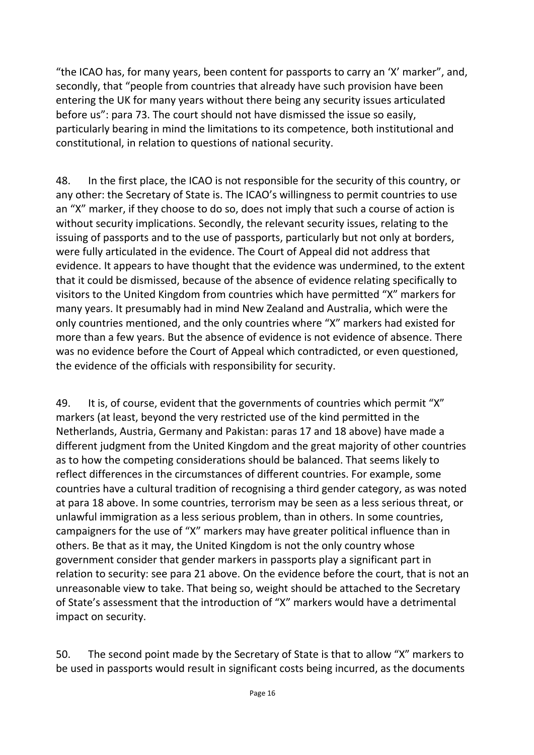"the ICAO has, for many years, been content for passports to carry an 'X' marker", and, secondly, that "people from countries that already have such provision have been entering the UK for many years without there being any security issues articulated before us": para 73. The court should not have dismissed the issue so easily, particularly bearing in mind the limitations to its competence, both institutional and constitutional, in relation to questions of national security.

48. In the first place, the ICAO is not responsible for the security of this country, or any other: the Secretary of State is. The ICAO's willingness to permit countries to use an "X" marker, if they choose to do so, does not imply that such a course of action is without security implications. Secondly, the relevant security issues, relating to the issuing of passports and to the use of passports, particularly but not only at borders, were fully articulated in the evidence. The Court of Appeal did not address that evidence. It appears to have thought that the evidence was undermined, to the extent that it could be dismissed, because of the absence of evidence relating specifically to visitors to the United Kingdom from countries which have permitted "X" markers for many years. It presumably had in mind New Zealand and Australia, which were the only countries mentioned, and the only countries where "X" markers had existed for more than a few years. But the absence of evidence is not evidence of absence. There was no evidence before the Court of Appeal which contradicted, or even questioned, the evidence of the officials with responsibility for security.

49. It is, of course, evident that the governments of countries which permit "X" markers (at least, beyond the very restricted use of the kind permitted in the Netherlands, Austria, Germany and Pakistan: paras 17 and 18 above) have made a different judgment from the United Kingdom and the great majority of other countries as to how the competing considerations should be balanced. That seems likely to reflect differences in the circumstances of different countries. For example, some countries have a cultural tradition of recognising a third gender category, as was noted at para 18 above. In some countries, terrorism may be seen as a less serious threat, or unlawful immigration as a less serious problem, than in others. In some countries, campaigners for the use of "X" markers may have greater political influence than in others. Be that as it may, the United Kingdom is not the only country whose government consider that gender markers in passports play a significant part in relation to security: see para 21 above. On the evidence before the court, that is not an unreasonable view to take. That being so, weight should be attached to the Secretary of State's assessment that the introduction of "X" markers would have a detrimental impact on security.

50. The second point made by the Secretary of State is that to allow "X" markers to be used in passports would result in significant costs being incurred, as the documents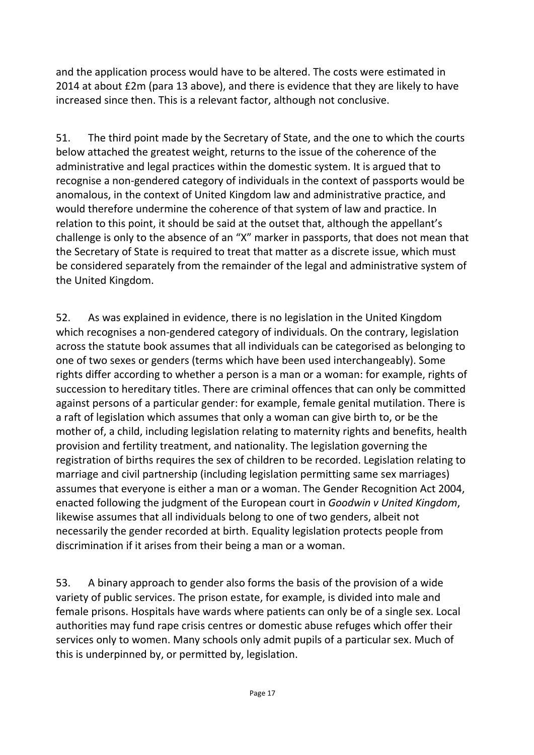and the application process would have to be altered. The costs were estimated in 2014 at about £2m (para 13 above), and there is evidence that they are likely to have increased since then. This is a relevant factor, although not conclusive.

51. The third point made by the Secretary of State, and the one to which the courts below attached the greatest weight, returns to the issue of the coherence of the administrative and legal practices within the domestic system. It is argued that to recognise a non-gendered category of individuals in the context of passports would be anomalous, in the context of United Kingdom law and administrative practice, and would therefore undermine the coherence of that system of law and practice. In relation to this point, it should be said at the outset that, although the appellant's challenge is only to the absence of an "X" marker in passports, that does not mean that the Secretary of State is required to treat that matter as a discrete issue, which must be considered separately from the remainder of the legal and administrative system of the United Kingdom.

52. As was explained in evidence, there is no legislation in the United Kingdom which recognises a non-gendered category of individuals. On the contrary, legislation across the statute book assumes that all individuals can be categorised as belonging to one of two sexes or genders (terms which have been used interchangeably). Some rights differ according to whether a person is a man or a woman: for example, rights of succession to hereditary titles. There are criminal offences that can only be committed against persons of a particular gender: for example, female genital mutilation. There is a raft of legislation which assumes that only a woman can give birth to, or be the mother of, a child, including legislation relating to maternity rights and benefits, health provision and fertility treatment, and nationality. The legislation governing the registration of births requires the sex of children to be recorded. Legislation relating to marriage and civil partnership (including legislation permitting same sex marriages) assumes that everyone is either a man or a woman. The Gender Recognition Act 2004, enacted following the judgment of the European court in *Goodwin v United Kingdom*, likewise assumes that all individuals belong to one of two genders, albeit not necessarily the gender recorded at birth. Equality legislation protects people from discrimination if it arises from their being a man or a woman.

53. A binary approach to gender also forms the basis of the provision of a wide variety of public services. The prison estate, for example, is divided into male and female prisons. Hospitals have wards where patients can only be of a single sex. Local authorities may fund rape crisis centres or domestic abuse refuges which offer their services only to women. Many schools only admit pupils of a particular sex. Much of this is underpinned by, or permitted by, legislation.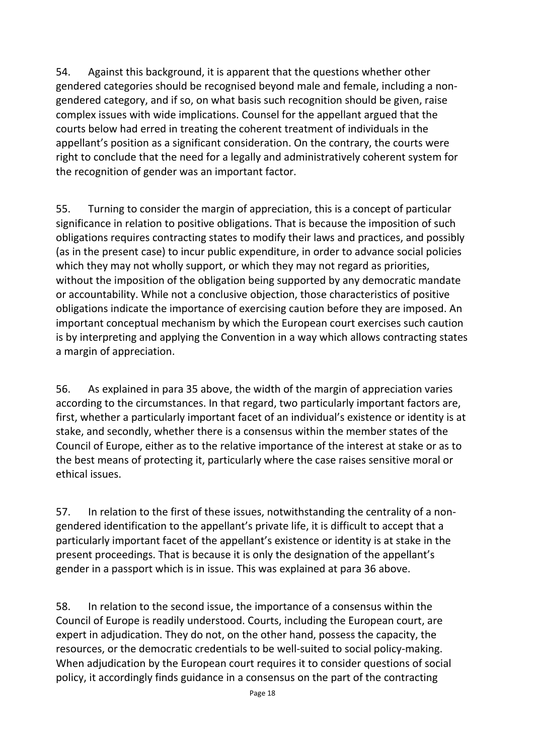54. Against this background, it is apparent that the questions whether other gendered categories should be recognised beyond male and female, including a nongendered category, and if so, on what basis such recognition should be given, raise complex issues with wide implications. Counsel for the appellant argued that the courts below had erred in treating the coherent treatment of individuals in the appellant's position as a significant consideration. On the contrary, the courts were right to conclude that the need for a legally and administratively coherent system for the recognition of gender was an important factor.

55. Turning to consider the margin of appreciation, this is a concept of particular significance in relation to positive obligations. That is because the imposition of such obligations requires contracting states to modify their laws and practices, and possibly (as in the present case) to incur public expenditure, in order to advance social policies which they may not wholly support, or which they may not regard as priorities, without the imposition of the obligation being supported by any democratic mandate or accountability. While not a conclusive objection, those characteristics of positive obligations indicate the importance of exercising caution before they are imposed. An important conceptual mechanism by which the European court exercises such caution is by interpreting and applying the Convention in a way which allows contracting states a margin of appreciation.

56. As explained in para 35 above, the width of the margin of appreciation varies according to the circumstances. In that regard, two particularly important factors are, first, whether a particularly important facet of an individual's existence or identity is at stake, and secondly, whether there is a consensus within the member states of the Council of Europe, either as to the relative importance of the interest at stake or as to the best means of protecting it, particularly where the case raises sensitive moral or ethical issues.

57. In relation to the first of these issues, notwithstanding the centrality of a nongendered identification to the appellant's private life, it is difficult to accept that a particularly important facet of the appellant's existence or identity is at stake in the present proceedings. That is because it is only the designation of the appellant's gender in a passport which is in issue. This was explained at para 36 above.

58. In relation to the second issue, the importance of a consensus within the Council of Europe is readily understood. Courts, including the European court, are expert in adjudication. They do not, on the other hand, possess the capacity, the resources, or the democratic credentials to be well-suited to social policy-making. When adjudication by the European court requires it to consider questions of social policy, it accordingly finds guidance in a consensus on the part of the contracting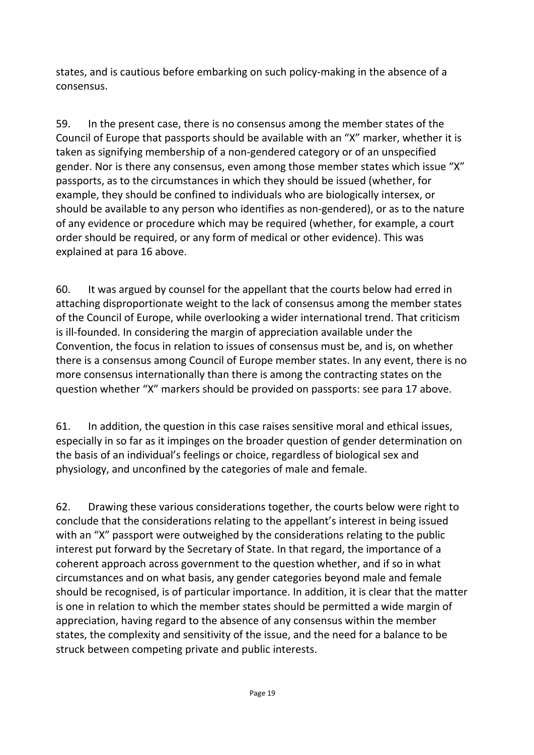states, and is cautious before embarking on such policy-making in the absence of a consensus.

59. In the present case, there is no consensus among the member states of the Council of Europe that passports should be available with an "X" marker, whether it is taken as signifying membership of a non-gendered category or of an unspecified gender. Nor is there any consensus, even among those member states which issue "X" passports, as to the circumstances in which they should be issued (whether, for example, they should be confined to individuals who are biologically intersex, or should be available to any person who identifies as non-gendered), or as to the nature of any evidence or procedure which may be required (whether, for example, a court order should be required, or any form of medical or other evidence). This was explained at para 16 above.

60. It was argued by counsel for the appellant that the courts below had erred in attaching disproportionate weight to the lack of consensus among the member states of the Council of Europe, while overlooking a wider international trend. That criticism is ill-founded. In considering the margin of appreciation available under the Convention, the focus in relation to issues of consensus must be, and is, on whether there is a consensus among Council of Europe member states. In any event, there is no more consensus internationally than there is among the contracting states on the question whether "X" markers should be provided on passports: see para 17 above.

61. In addition, the question in this case raises sensitive moral and ethical issues, especially in so far as it impinges on the broader question of gender determination on the basis of an individual's feelings or choice, regardless of biological sex and physiology, and unconfined by the categories of male and female.

62. Drawing these various considerations together, the courts below were right to conclude that the considerations relating to the appellant's interest in being issued with an "X" passport were outweighed by the considerations relating to the public interest put forward by the Secretary of State. In that regard, the importance of a coherent approach across government to the question whether, and if so in what circumstances and on what basis, any gender categories beyond male and female should be recognised, is of particular importance. In addition, it is clear that the matter is one in relation to which the member states should be permitted a wide margin of appreciation, having regard to the absence of any consensus within the member states, the complexity and sensitivity of the issue, and the need for a balance to be struck between competing private and public interests.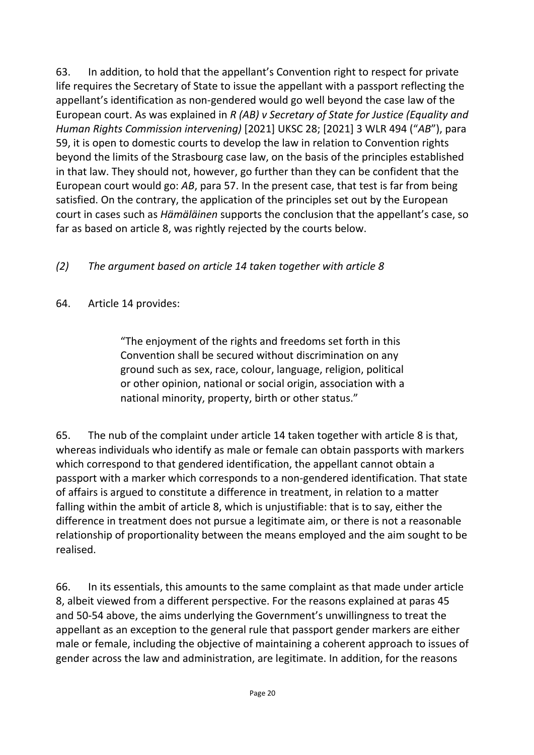63. In addition, to hold that the appellant's Convention right to respect for private life requires the Secretary of State to issue the appellant with a passport reflecting the appellant's identification as non-gendered would go well beyond the case law of the European court. As was explained in *R (AB) v Secretary of State for Justice (Equality and Human Rights Commission intervening)* [2021] UKSC 28; [2021] 3 WLR 494 ("*AB*"), para 59, it is open to domestic courts to develop the law in relation to Convention rights beyond the limits of the Strasbourg case law, on the basis of the principles established in that law. They should not, however, go further than they can be confident that the European court would go: *AB*, para 57. In the present case, that test is far from being satisfied. On the contrary, the application of the principles set out by the European court in cases such as *Hämäläinen* supports the conclusion that the appellant's case, so far as based on article 8, was rightly rejected by the courts below.

## *(2) The argument based on article 14 taken together with article 8*

#### 64. Article 14 provides:

"The enjoyment of the rights and freedoms set forth in this Convention shall be secured without discrimination on any ground such as sex, race, colour, language, religion, political or other opinion, national or social origin, association with a national minority, property, birth or other status."

65. The nub of the complaint under article 14 taken together with article 8 is that, whereas individuals who identify as male or female can obtain passports with markers which correspond to that gendered identification, the appellant cannot obtain a passport with a marker which corresponds to a non-gendered identification. That state of affairs is argued to constitute a difference in treatment, in relation to a matter falling within the ambit of article 8, which is unjustifiable: that is to say, either the difference in treatment does not pursue a legitimate aim, or there is not a reasonable relationship of proportionality between the means employed and the aim sought to be realised.

66. In its essentials, this amounts to the same complaint as that made under article 8, albeit viewed from a different perspective. For the reasons explained at paras 45 and 50-54 above, the aims underlying the Government's unwillingness to treat the appellant as an exception to the general rule that passport gender markers are either male or female, including the objective of maintaining a coherent approach to issues of gender across the law and administration, are legitimate. In addition, for the reasons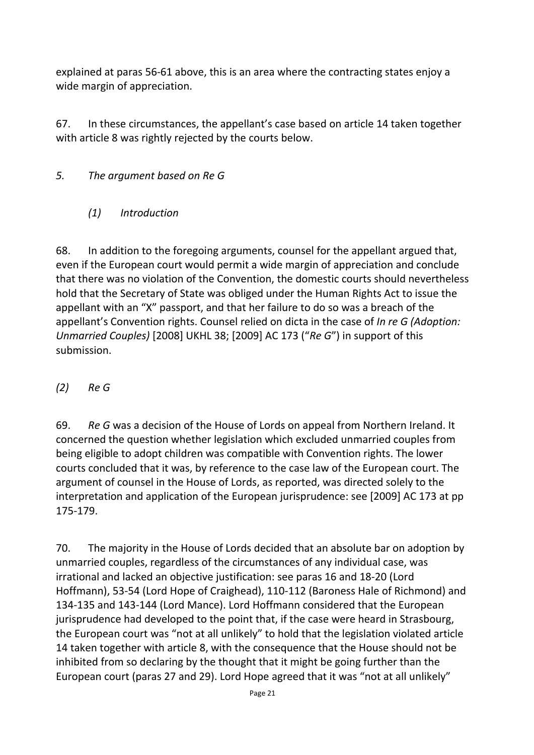explained at paras 56-61 above, this is an area where the contracting states enjoy a wide margin of appreciation.

67. In these circumstances, the appellant's case based on article 14 taken together with article 8 was rightly rejected by the courts below.

- *5. The argument based on Re G*
	- *(1) Introduction*

68. In addition to the foregoing arguments, counsel for the appellant argued that, even if the European court would permit a wide margin of appreciation and conclude that there was no violation of the Convention, the domestic courts should nevertheless hold that the Secretary of State was obliged under the Human Rights Act to issue the appellant with an "X" passport, and that her failure to do so was a breach of the appellant's Convention rights. Counsel relied on dicta in the case of *In re G (Adoption: Unmarried Couples)* [2008] UKHL 38; [2009] AC 173 ("*Re G*") in support of this submission.

*(2) Re G*

69. *Re G* was a decision of the House of Lords on appeal from Northern Ireland. It concerned the question whether legislation which excluded unmarried couples from being eligible to adopt children was compatible with Convention rights. The lower courts concluded that it was, by reference to the case law of the European court. The argument of counsel in the House of Lords, as reported, was directed solely to the interpretation and application of the European jurisprudence: see [2009] AC 173 at pp 175-179.

70. The majority in the House of Lords decided that an absolute bar on adoption by unmarried couples, regardless of the circumstances of any individual case, was irrational and lacked an objective justification: see paras 16 and 18-20 (Lord Hoffmann), 53-54 (Lord Hope of Craighead), 110-112 (Baroness Hale of Richmond) and 134-135 and 143-144 (Lord Mance). Lord Hoffmann considered that the European jurisprudence had developed to the point that, if the case were heard in Strasbourg, the European court was "not at all unlikely" to hold that the legislation violated article 14 taken together with article 8, with the consequence that the House should not be inhibited from so declaring by the thought that it might be going further than the European court (paras 27 and 29). Lord Hope agreed that it was "not at all unlikely"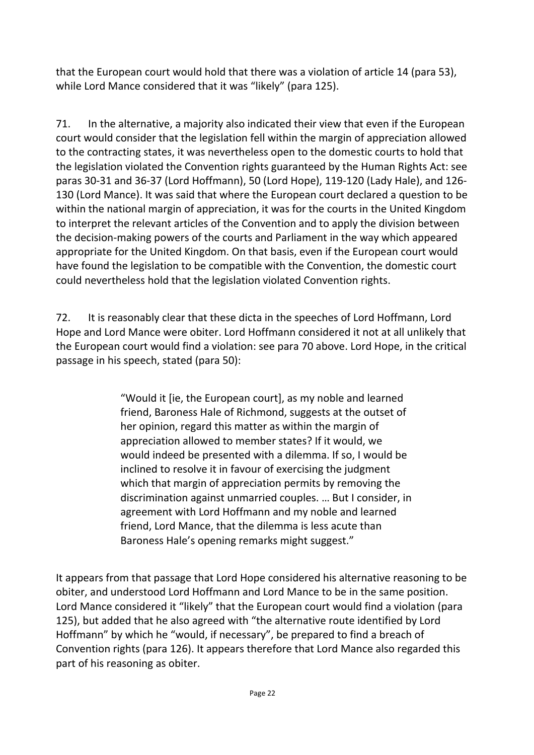that the European court would hold that there was a violation of article 14 (para 53), while Lord Mance considered that it was "likely" (para 125).

71. In the alternative, a majority also indicated their view that even if the European court would consider that the legislation fell within the margin of appreciation allowed to the contracting states, it was nevertheless open to the domestic courts to hold that the legislation violated the Convention rights guaranteed by the Human Rights Act: see paras 30-31 and 36-37 (Lord Hoffmann), 50 (Lord Hope), 119-120 (Lady Hale), and 126- 130 (Lord Mance). It was said that where the European court declared a question to be within the national margin of appreciation, it was for the courts in the United Kingdom to interpret the relevant articles of the Convention and to apply the division between the decision-making powers of the courts and Parliament in the way which appeared appropriate for the United Kingdom. On that basis, even if the European court would have found the legislation to be compatible with the Convention, the domestic court could nevertheless hold that the legislation violated Convention rights.

72. It is reasonably clear that these dicta in the speeches of Lord Hoffmann, Lord Hope and Lord Mance were obiter. Lord Hoffmann considered it not at all unlikely that the European court would find a violation: see para 70 above. Lord Hope, in the critical passage in his speech, stated (para 50):

> "Would it [ie, the European court], as my noble and learned friend, Baroness Hale of Richmond, suggests at the outset of her opinion, regard this matter as within the margin of appreciation allowed to member states? If it would, we would indeed be presented with a dilemma. If so, I would be inclined to resolve it in favour of exercising the judgment which that margin of appreciation permits by removing the discrimination against unmarried couples. … But I consider, in agreement with Lord Hoffmann and my noble and learned friend, Lord Mance, that the dilemma is less acute than Baroness Hale's opening remarks might suggest."

It appears from that passage that Lord Hope considered his alternative reasoning to be obiter, and understood Lord Hoffmann and Lord Mance to be in the same position. Lord Mance considered it "likely" that the European court would find a violation (para 125), but added that he also agreed with "the alternative route identified by Lord Hoffmann" by which he "would, if necessary", be prepared to find a breach of Convention rights (para 126). It appears therefore that Lord Mance also regarded this part of his reasoning as obiter.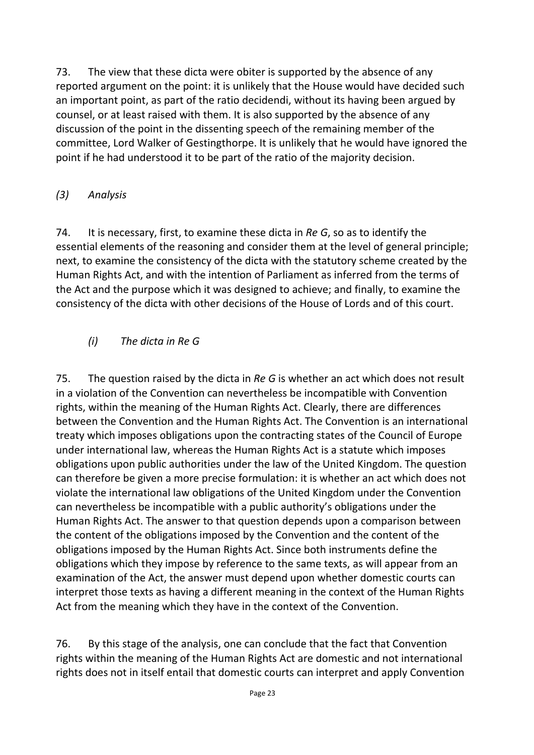73. The view that these dicta were obiter is supported by the absence of any reported argument on the point: it is unlikely that the House would have decided such an important point, as part of the ratio decidendi, without its having been argued by counsel, or at least raised with them. It is also supported by the absence of any discussion of the point in the dissenting speech of the remaining member of the committee, Lord Walker of Gestingthorpe. It is unlikely that he would have ignored the point if he had understood it to be part of the ratio of the majority decision.

## *(3) Analysis*

74. It is necessary, first, to examine these dicta in *Re G*, so as to identify the essential elements of the reasoning and consider them at the level of general principle; next, to examine the consistency of the dicta with the statutory scheme created by the Human Rights Act, and with the intention of Parliament as inferred from the terms of the Act and the purpose which it was designed to achieve; and finally, to examine the consistency of the dicta with other decisions of the House of Lords and of this court.

## *(i) The dicta in Re G*

75. The question raised by the dicta in *Re G* is whether an act which does not result in a violation of the Convention can nevertheless be incompatible with Convention rights, within the meaning of the Human Rights Act. Clearly, there are differences between the Convention and the Human Rights Act. The Convention is an international treaty which imposes obligations upon the contracting states of the Council of Europe under international law, whereas the Human Rights Act is a statute which imposes obligations upon public authorities under the law of the United Kingdom. The question can therefore be given a more precise formulation: it is whether an act which does not violate the international law obligations of the United Kingdom under the Convention can nevertheless be incompatible with a public authority's obligations under the Human Rights Act. The answer to that question depends upon a comparison between the content of the obligations imposed by the Convention and the content of the obligations imposed by the Human Rights Act. Since both instruments define the obligations which they impose by reference to the same texts, as will appear from an examination of the Act, the answer must depend upon whether domestic courts can interpret those texts as having a different meaning in the context of the Human Rights Act from the meaning which they have in the context of the Convention.

76. By this stage of the analysis, one can conclude that the fact that Convention rights within the meaning of the Human Rights Act are domestic and not international rights does not in itself entail that domestic courts can interpret and apply Convention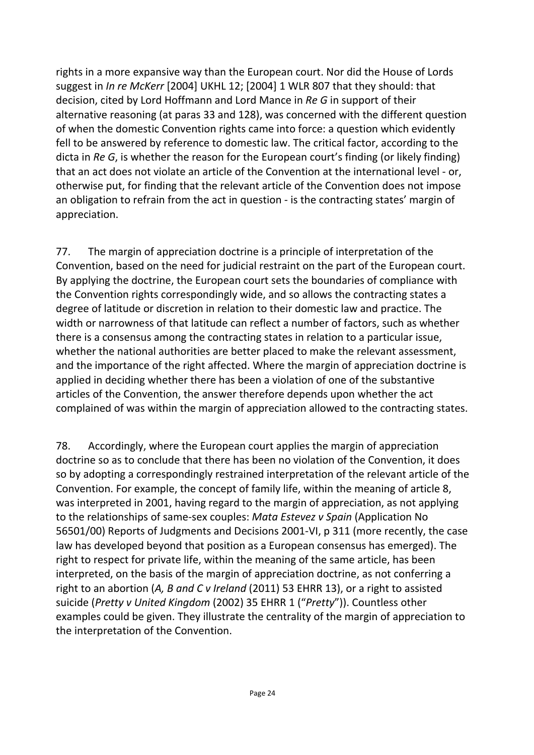rights in a more expansive way than the European court. Nor did the House of Lords suggest in *In re McKerr* [2004] UKHL 12; [2004] 1 WLR 807 that they should: that decision, cited by Lord Hoffmann and Lord Mance in *Re G* in support of their alternative reasoning (at paras 33 and 128), was concerned with the different question of when the domestic Convention rights came into force: a question which evidently fell to be answered by reference to domestic law. The critical factor, according to the dicta in *Re G*, is whether the reason for the European court's finding (or likely finding) that an act does not violate an article of the Convention at the international level - or, otherwise put, for finding that the relevant article of the Convention does not impose an obligation to refrain from the act in question - is the contracting states' margin of appreciation.

77. The margin of appreciation doctrine is a principle of interpretation of the Convention, based on the need for judicial restraint on the part of the European court. By applying the doctrine, the European court sets the boundaries of compliance with the Convention rights correspondingly wide, and so allows the contracting states a degree of latitude or discretion in relation to their domestic law and practice. The width or narrowness of that latitude can reflect a number of factors, such as whether there is a consensus among the contracting states in relation to a particular issue, whether the national authorities are better placed to make the relevant assessment, and the importance of the right affected. Where the margin of appreciation doctrine is applied in deciding whether there has been a violation of one of the substantive articles of the Convention, the answer therefore depends upon whether the act complained of was within the margin of appreciation allowed to the contracting states.

78. Accordingly, where the European court applies the margin of appreciation doctrine so as to conclude that there has been no violation of the Convention, it does so by adopting a correspondingly restrained interpretation of the relevant article of the Convention. For example, the concept of family life, within the meaning of article 8, was interpreted in 2001, having regard to the margin of appreciation, as not applying to the relationships of same-sex couples: *Mata Estevez v Spain* (Application No 56501/00) Reports of Judgments and Decisions 2001-VI, p 311 (more recently, the case law has developed beyond that position as a European consensus has emerged). The right to respect for private life, within the meaning of the same article, has been interpreted, on the basis of the margin of appreciation doctrine, as not conferring a right to an abortion (*A, B and C v Ireland* (2011) 53 EHRR 13), or a right to assisted suicide (*Pretty v United Kingdom* (2002) 35 EHRR 1 ("*Pretty*")). Countless other examples could be given. They illustrate the centrality of the margin of appreciation to the interpretation of the Convention.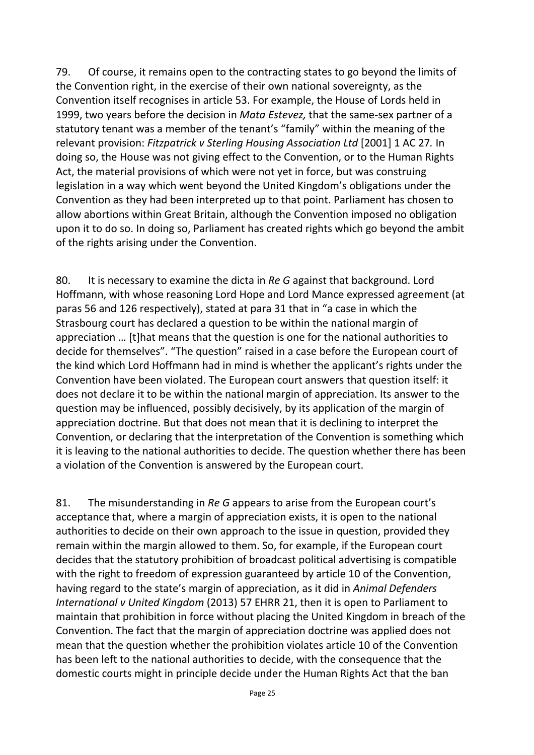79. Of course, it remains open to the contracting states to go beyond the limits of the Convention right, in the exercise of their own national sovereignty, as the Convention itself recognises in article 53. For example, the House of Lords held in 1999, two years before the decision in *Mata Estevez,* that the same-sex partner of a statutory tenant was a member of the tenant's "family" within the meaning of the relevant provision: *Fitzpatrick v Sterling Housing Association Ltd* [2001] 1 AC 27*.* In doing so, the House was not giving effect to the Convention, or to the Human Rights Act, the material provisions of which were not yet in force, but was construing legislation in a way which went beyond the United Kingdom's obligations under the Convention as they had been interpreted up to that point. Parliament has chosen to allow abortions within Great Britain, although the Convention imposed no obligation upon it to do so. In doing so, Parliament has created rights which go beyond the ambit of the rights arising under the Convention.

80. It is necessary to examine the dicta in *Re G* against that background. Lord Hoffmann, with whose reasoning Lord Hope and Lord Mance expressed agreement (at paras 56 and 126 respectively), stated at para 31 that in "a case in which the Strasbourg court has declared a question to be within the national margin of appreciation … [t]hat means that the question is one for the national authorities to decide for themselves". "The question" raised in a case before the European court of the kind which Lord Hoffmann had in mind is whether the applicant's rights under the Convention have been violated. The European court answers that question itself: it does not declare it to be within the national margin of appreciation. Its answer to the question may be influenced, possibly decisively, by its application of the margin of appreciation doctrine. But that does not mean that it is declining to interpret the Convention, or declaring that the interpretation of the Convention is something which it is leaving to the national authorities to decide. The question whether there has been a violation of the Convention is answered by the European court.

81. The misunderstanding in *Re G* appears to arise from the European court's acceptance that, where a margin of appreciation exists, it is open to the national authorities to decide on their own approach to the issue in question, provided they remain within the margin allowed to them. So, for example, if the European court decides that the statutory prohibition of broadcast political advertising is compatible with the right to freedom of expression guaranteed by article 10 of the Convention, having regard to the state's margin of appreciation, as it did in *Animal Defenders International v United Kingdom* (2013) 57 EHRR 21, then it is open to Parliament to maintain that prohibition in force without placing the United Kingdom in breach of the Convention. The fact that the margin of appreciation doctrine was applied does not mean that the question whether the prohibition violates article 10 of the Convention has been left to the national authorities to decide, with the consequence that the domestic courts might in principle decide under the Human Rights Act that the ban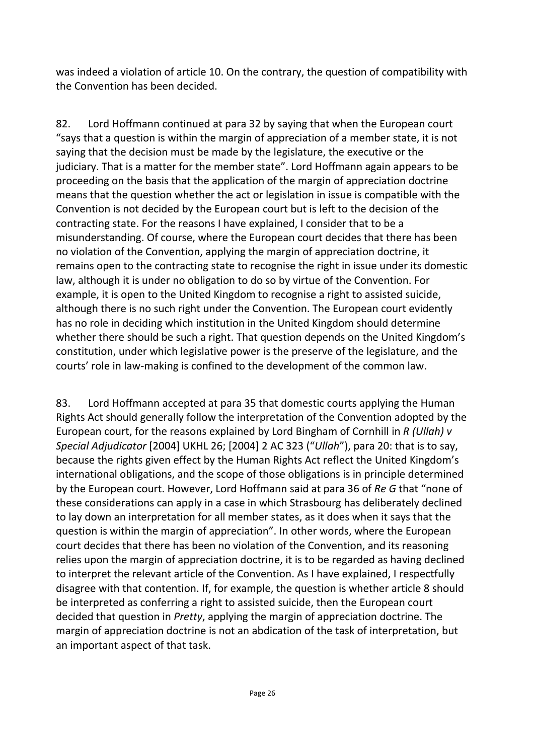was indeed a violation of article 10. On the contrary, the question of compatibility with the Convention has been decided.

82. Lord Hoffmann continued at para 32 by saying that when the European court "says that a question is within the margin of appreciation of a member state, it is not saying that the decision must be made by the legislature, the executive or the judiciary. That is a matter for the member state". Lord Hoffmann again appears to be proceeding on the basis that the application of the margin of appreciation doctrine means that the question whether the act or legislation in issue is compatible with the Convention is not decided by the European court but is left to the decision of the contracting state. For the reasons I have explained, I consider that to be a misunderstanding. Of course, where the European court decides that there has been no violation of the Convention, applying the margin of appreciation doctrine, it remains open to the contracting state to recognise the right in issue under its domestic law, although it is under no obligation to do so by virtue of the Convention. For example, it is open to the United Kingdom to recognise a right to assisted suicide, although there is no such right under the Convention. The European court evidently has no role in deciding which institution in the United Kingdom should determine whether there should be such a right. That question depends on the United Kingdom's constitution, under which legislative power is the preserve of the legislature, and the courts' role in law-making is confined to the development of the common law.

83. Lord Hoffmann accepted at para 35 that domestic courts applying the Human Rights Act should generally follow the interpretation of the Convention adopted by the European court, for the reasons explained by Lord Bingham of Cornhill in *R (Ullah) v Special Adjudicator* [2004] UKHL 26; [2004] 2 AC 323 ("*Ullah*"), para 20: that is to say, because the rights given effect by the Human Rights Act reflect the United Kingdom's international obligations, and the scope of those obligations is in principle determined by the European court. However, Lord Hoffmann said at para 36 of *Re G* that "none of these considerations can apply in a case in which Strasbourg has deliberately declined to lay down an interpretation for all member states, as it does when it says that the question is within the margin of appreciation". In other words, where the European court decides that there has been no violation of the Convention, and its reasoning relies upon the margin of appreciation doctrine, it is to be regarded as having declined to interpret the relevant article of the Convention. As I have explained, I respectfully disagree with that contention. If, for example, the question is whether article 8 should be interpreted as conferring a right to assisted suicide, then the European court decided that question in *Pretty*, applying the margin of appreciation doctrine. The margin of appreciation doctrine is not an abdication of the task of interpretation, but an important aspect of that task.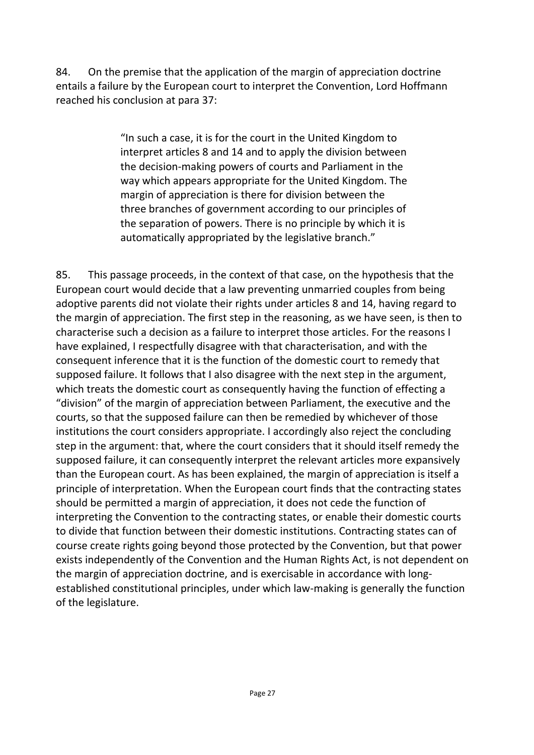84. On the premise that the application of the margin of appreciation doctrine entails a failure by the European court to interpret the Convention, Lord Hoffmann reached his conclusion at para 37:

> "In such a case, it is for the court in the United Kingdom to interpret articles 8 and 14 and to apply the division between the decision-making powers of courts and Parliament in the way which appears appropriate for the United Kingdom. The margin of appreciation is there for division between the three branches of government according to our principles of the separation of powers. There is no principle by which it is automatically appropriated by the legislative branch."

85. This passage proceeds, in the context of that case, on the hypothesis that the European court would decide that a law preventing unmarried couples from being adoptive parents did not violate their rights under articles 8 and 14, having regard to the margin of appreciation. The first step in the reasoning, as we have seen, is then to characterise such a decision as a failure to interpret those articles. For the reasons I have explained, I respectfully disagree with that characterisation, and with the consequent inference that it is the function of the domestic court to remedy that supposed failure. It follows that I also disagree with the next step in the argument, which treats the domestic court as consequently having the function of effecting a "division" of the margin of appreciation between Parliament, the executive and the courts, so that the supposed failure can then be remedied by whichever of those institutions the court considers appropriate. I accordingly also reject the concluding step in the argument: that, where the court considers that it should itself remedy the supposed failure, it can consequently interpret the relevant articles more expansively than the European court. As has been explained, the margin of appreciation is itself a principle of interpretation. When the European court finds that the contracting states should be permitted a margin of appreciation, it does not cede the function of interpreting the Convention to the contracting states, or enable their domestic courts to divide that function between their domestic institutions. Contracting states can of course create rights going beyond those protected by the Convention, but that power exists independently of the Convention and the Human Rights Act, is not dependent on the margin of appreciation doctrine, and is exercisable in accordance with longestablished constitutional principles, under which law-making is generally the function of the legislature.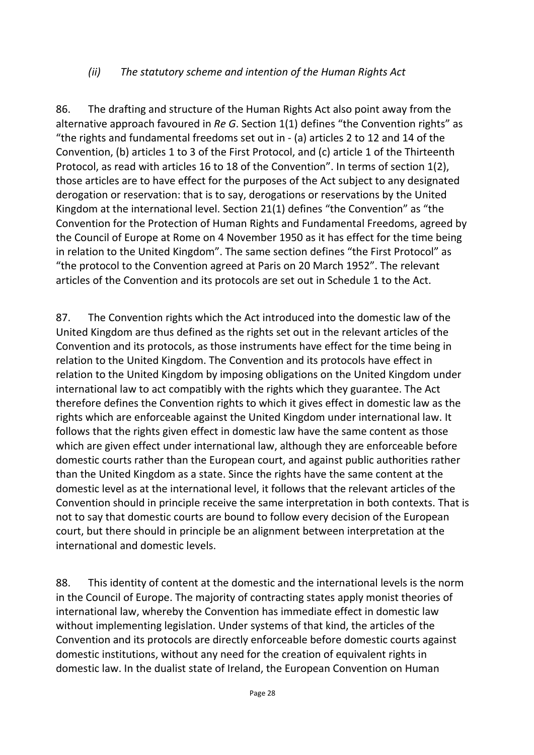#### *(ii) The statutory scheme and intention of the Human Rights Act*

86. The drafting and structure of the Human Rights Act also point away from the alternative approach favoured in *Re G*. Section 1(1) defines "the Convention rights" as "the rights and fundamental freedoms set out in - (a) articles 2 to 12 and 14 of the Convention, (b) articles 1 to 3 of the First Protocol, and (c) article 1 of the Thirteenth Protocol, as read with articles 16 to 18 of the Convention". In terms of section 1(2), those articles are to have effect for the purposes of the Act subject to any designated derogation or reservation: that is to say, derogations or reservations by the United Kingdom at the international level. Section 21(1) defines "the Convention" as "the Convention for the Protection of Human Rights and Fundamental Freedoms, agreed by the Council of Europe at Rome on 4 November 1950 as it has effect for the time being in relation to the United Kingdom". The same section defines "the First Protocol" as "the protocol to the Convention agreed at Paris on 20 March 1952". The relevant articles of the Convention and its protocols are set out in Schedule 1 to the Act.

87. The Convention rights which the Act introduced into the domestic law of the United Kingdom are thus defined as the rights set out in the relevant articles of the Convention and its protocols, as those instruments have effect for the time being in relation to the United Kingdom. The Convention and its protocols have effect in relation to the United Kingdom by imposing obligations on the United Kingdom under international law to act compatibly with the rights which they guarantee. The Act therefore defines the Convention rights to which it gives effect in domestic law as the rights which are enforceable against the United Kingdom under international law. It follows that the rights given effect in domestic law have the same content as those which are given effect under international law, although they are enforceable before domestic courts rather than the European court, and against public authorities rather than the United Kingdom as a state. Since the rights have the same content at the domestic level as at the international level, it follows that the relevant articles of the Convention should in principle receive the same interpretation in both contexts. That is not to say that domestic courts are bound to follow every decision of the European court, but there should in principle be an alignment between interpretation at the international and domestic levels.

88. This identity of content at the domestic and the international levels is the norm in the Council of Europe. The majority of contracting states apply monist theories of international law, whereby the Convention has immediate effect in domestic law without implementing legislation. Under systems of that kind, the articles of the Convention and its protocols are directly enforceable before domestic courts against domestic institutions, without any need for the creation of equivalent rights in domestic law. In the dualist state of Ireland, the European Convention on Human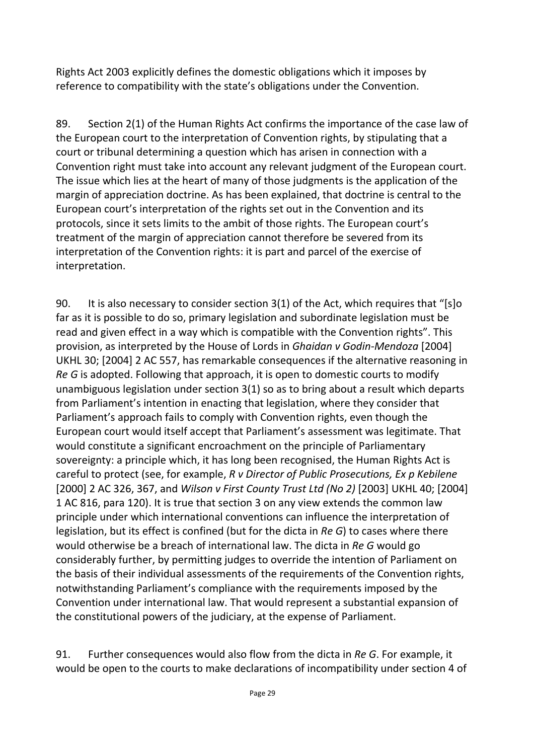Rights Act 2003 explicitly defines the domestic obligations which it imposes by reference to compatibility with the state's obligations under the Convention.

89. Section 2(1) of the Human Rights Act confirms the importance of the case law of the European court to the interpretation of Convention rights, by stipulating that a court or tribunal determining a question which has arisen in connection with a Convention right must take into account any relevant judgment of the European court. The issue which lies at the heart of many of those judgments is the application of the margin of appreciation doctrine. As has been explained, that doctrine is central to the European court's interpretation of the rights set out in the Convention and its protocols, since it sets limits to the ambit of those rights. The European court's treatment of the margin of appreciation cannot therefore be severed from its interpretation of the Convention rights: it is part and parcel of the exercise of interpretation.

90. It is also necessary to consider section 3(1) of the Act, which requires that "[s]o far as it is possible to do so, primary legislation and subordinate legislation must be read and given effect in a way which is compatible with the Convention rights". This provision, as interpreted by the House of Lords in *Ghaidan v Godin-Mendoza* [2004] UKHL 30; [2004] 2 AC 557, has remarkable consequences if the alternative reasoning in *Re G* is adopted. Following that approach, it is open to domestic courts to modify unambiguous legislation under section 3(1) so as to bring about a result which departs from Parliament's intention in enacting that legislation, where they consider that Parliament's approach fails to comply with Convention rights, even though the European court would itself accept that Parliament's assessment was legitimate. That would constitute a significant encroachment on the principle of Parliamentary sovereignty: a principle which, it has long been recognised, the Human Rights Act is careful to protect (see, for example, *R v Director of Public Prosecutions, Ex p Kebilene* [2000] 2 AC 326, 367, and *Wilson v First County Trust Ltd (No 2)* [2003] UKHL 40; [2004] 1 AC 816, para 120). It is true that section 3 on any view extends the common law principle under which international conventions can influence the interpretation of legislation, but its effect is confined (but for the dicta in *Re G*) to cases where there would otherwise be a breach of international law. The dicta in *Re G* would go considerably further, by permitting judges to override the intention of Parliament on the basis of their individual assessments of the requirements of the Convention rights, notwithstanding Parliament's compliance with the requirements imposed by the Convention under international law. That would represent a substantial expansion of the constitutional powers of the judiciary, at the expense of Parliament.

91. Further consequences would also flow from the dicta in *Re G*. For example, it would be open to the courts to make declarations of incompatibility under section 4 of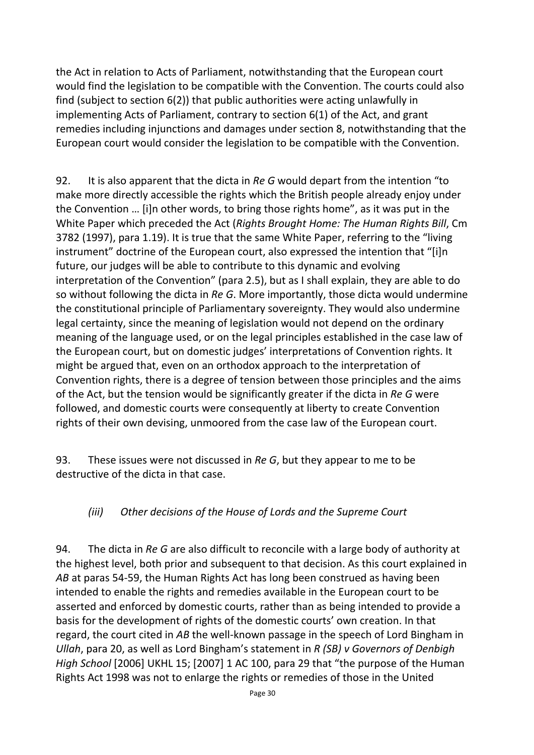the Act in relation to Acts of Parliament, notwithstanding that the European court would find the legislation to be compatible with the Convention. The courts could also find (subject to section 6(2)) that public authorities were acting unlawfully in implementing Acts of Parliament, contrary to section 6(1) of the Act, and grant remedies including injunctions and damages under section 8, notwithstanding that the European court would consider the legislation to be compatible with the Convention.

92. It is also apparent that the dicta in *Re G* would depart from the intention "to make more directly accessible the rights which the British people already enjoy under the Convention … [i]n other words, to bring those rights home", as it was put in the White Paper which preceded the Act (*Rights Brought Home: The Human Rights Bill*, Cm 3782 (1997), para 1.19). It is true that the same White Paper, referring to the "living instrument" doctrine of the European court, also expressed the intention that "[i]n future, our judges will be able to contribute to this dynamic and evolving interpretation of the Convention" (para 2.5), but as I shall explain, they are able to do so without following the dicta in *Re G*. More importantly, those dicta would undermine the constitutional principle of Parliamentary sovereignty. They would also undermine legal certainty, since the meaning of legislation would not depend on the ordinary meaning of the language used, or on the legal principles established in the case law of the European court, but on domestic judges' interpretations of Convention rights. It might be argued that, even on an orthodox approach to the interpretation of Convention rights, there is a degree of tension between those principles and the aims of the Act, but the tension would be significantly greater if the dicta in *Re G* were followed, and domestic courts were consequently at liberty to create Convention rights of their own devising, unmoored from the case law of the European court.

93. These issues were not discussed in *Re G*, but they appear to me to be destructive of the dicta in that case.

## *(iii) Other decisions of the House of Lords and the Supreme Court*

94. The dicta in *Re G* are also difficult to reconcile with a large body of authority at the highest level, both prior and subsequent to that decision. As this court explained in *AB* at paras 54-59, the Human Rights Act has long been construed as having been intended to enable the rights and remedies available in the European court to be asserted and enforced by domestic courts, rather than as being intended to provide a basis for the development of rights of the domestic courts' own creation. In that regard, the court cited in *AB* the well-known passage in the speech of Lord Bingham in *Ullah*, para 20, as well as Lord Bingham's statement in *R (SB) v Governors of Denbigh High School* [2006] UKHL 15; [2007] 1 AC 100, para 29 that "the purpose of the Human Rights Act 1998 was not to enlarge the rights or remedies of those in the United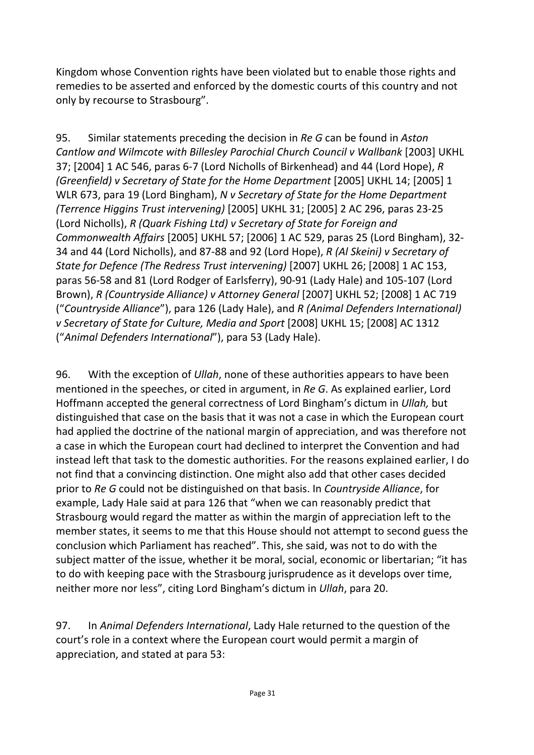Kingdom whose Convention rights have been violated but to enable those rights and remedies to be asserted and enforced by the domestic courts of this country and not only by recourse to Strasbourg".

95. Similar statements preceding the decision in *Re G* can be found in *Aston Cantlow and Wilmcote with Billesley Parochial Church Council v Wallbank* [2003] UKHL 37; [2004] 1 AC 546, paras 6-7 (Lord Nicholls of Birkenhead) and 44 (Lord Hope), *R (Greenfield) v Secretary of State for the Home Department* [2005] UKHL 14; [2005] 1 WLR 673, para 19 (Lord Bingham), *N v Secretary of State for the Home Department (Terrence Higgins Trust intervening)* [2005] UKHL 31; [2005] 2 AC 296, paras 23-25 (Lord Nicholls), *R (Quark Fishing Ltd) v Secretary of State for Foreign and Commonwealth Affairs* [2005] UKHL 57; [2006] 1 AC 529, paras 25 (Lord Bingham), 32- 34 and 44 (Lord Nicholls), and 87-88 and 92 (Lord Hope), *R (Al Skeini) v Secretary of State for Defence (The Redress Trust intervening)* [2007] UKHL 26; [2008] 1 AC 153, paras 56-58 and 81 (Lord Rodger of Earlsferry), 90-91 (Lady Hale) and 105-107 (Lord Brown), *R (Countryside Alliance) v Attorney General* [2007] UKHL 52; [2008] 1 AC 719 ("*Countryside Alliance*"), para 126 (Lady Hale), and *R (Animal Defenders International) v Secretary of State for Culture, Media and Sport* [2008] UKHL 15; [2008] AC 1312 ("*Animal Defenders International*"), para 53 (Lady Hale).

96. With the exception of *Ullah*, none of these authorities appears to have been mentioned in the speeches, or cited in argument, in *Re G*. As explained earlier, Lord Hoffmann accepted the general correctness of Lord Bingham's dictum in *Ullah,* but distinguished that case on the basis that it was not a case in which the European court had applied the doctrine of the national margin of appreciation, and was therefore not a case in which the European court had declined to interpret the Convention and had instead left that task to the domestic authorities. For the reasons explained earlier, I do not find that a convincing distinction. One might also add that other cases decided prior to *Re G* could not be distinguished on that basis. In *Countryside Alliance*, for example, Lady Hale said at para 126 that "when we can reasonably predict that Strasbourg would regard the matter as within the margin of appreciation left to the member states, it seems to me that this House should not attempt to second guess the conclusion which Parliament has reached". This, she said, was not to do with the subject matter of the issue, whether it be moral, social, economic or libertarian; "it has to do with keeping pace with the Strasbourg jurisprudence as it develops over time, neither more nor less", citing Lord Bingham's dictum in *Ullah*, para 20.

97. In *Animal Defenders International*, Lady Hale returned to the question of the court's role in a context where the European court would permit a margin of appreciation, and stated at para 53: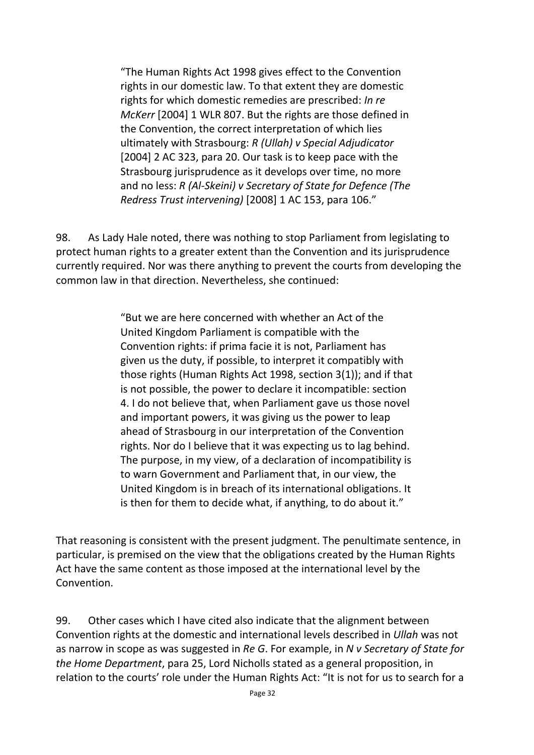"The Human Rights Act 1998 gives effect to the Convention rights in our domestic law. To that extent they are domestic rights for which domestic remedies are prescribed: *In re McKerr* [2004] 1 WLR 807. But the rights are those defined in the Convention, the correct interpretation of which lies ultimately with Strasbourg: *R (Ullah) v Special Adjudicator* [2004] 2 AC 323, para 20. Our task is to keep pace with the Strasbourg jurisprudence as it develops over time, no more and no less: *R (Al-Skeini) v Secretary of State for Defence (The Redress Trust intervening)* [2008] 1 AC 153, para 106."

98. As Lady Hale noted, there was nothing to stop Parliament from legislating to protect human rights to a greater extent than the Convention and its jurisprudence currently required. Nor was there anything to prevent the courts from developing the common law in that direction. Nevertheless, she continued:

> "But we are here concerned with whether an Act of the United Kingdom Parliament is compatible with the Convention rights: if prima facie it is not, Parliament has given us the duty, if possible, to interpret it compatibly with those rights (Human Rights Act 1998, section 3(1)); and if that is not possible, the power to declare it incompatible: section 4. I do not believe that, when Parliament gave us those novel and important powers, it was giving us the power to leap ahead of Strasbourg in our interpretation of the Convention rights. Nor do I believe that it was expecting us to lag behind. The purpose, in my view, of a declaration of incompatibility is to warn Government and Parliament that, in our view, the United Kingdom is in breach of its international obligations. It is then for them to decide what, if anything, to do about it."

That reasoning is consistent with the present judgment. The penultimate sentence, in particular, is premised on the view that the obligations created by the Human Rights Act have the same content as those imposed at the international level by the Convention.

99. Other cases which I have cited also indicate that the alignment between Convention rights at the domestic and international levels described in *Ullah* was not as narrow in scope as was suggested in *Re G*. For example, in *N v Secretary of State for the Home Department*, para 25, Lord Nicholls stated as a general proposition, in relation to the courts' role under the Human Rights Act: "It is not for us to search for a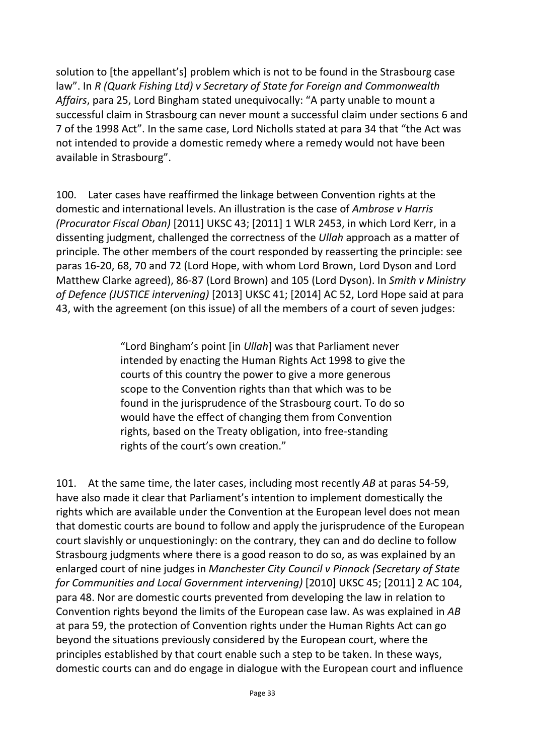solution to [the appellant's] problem which is not to be found in the Strasbourg case law". In *R (Quark Fishing Ltd) v Secretary of State for Foreign and Commonwealth Affairs*, para 25, Lord Bingham stated unequivocally: "A party unable to mount a successful claim in Strasbourg can never mount a successful claim under sections 6 and 7 of the 1998 Act". In the same case, Lord Nicholls stated at para 34 that "the Act was not intended to provide a domestic remedy where a remedy would not have been available in Strasbourg".

100. Later cases have reaffirmed the linkage between Convention rights at the domestic and international levels. An illustration is the case of *Ambrose v Harris (Procurator Fiscal Oban)* [2011] UKSC 43; [2011] 1 WLR 2453, in which Lord Kerr, in a dissenting judgment, challenged the correctness of the *Ullah* approach as a matter of principle. The other members of the court responded by reasserting the principle: see paras 16-20, 68, 70 and 72 (Lord Hope, with whom Lord Brown, Lord Dyson and Lord Matthew Clarke agreed), 86-87 (Lord Brown) and 105 (Lord Dyson). In *Smith v Ministry of Defence (JUSTICE intervening)* [2013] UKSC 41; [2014] AC 52, Lord Hope said at para 43, with the agreement (on this issue) of all the members of a court of seven judges:

> "Lord Bingham's point [in *Ullah*] was that Parliament never intended by enacting the Human Rights Act 1998 to give the courts of this country the power to give a more generous scope to the Convention rights than that which was to be found in the jurisprudence of the Strasbourg court. To do so would have the effect of changing them from Convention rights, based on the Treaty obligation, into free-standing rights of the court's own creation."

101. At the same time, the later cases, including most recently *AB* at paras 54-59, have also made it clear that Parliament's intention to implement domestically the rights which are available under the Convention at the European level does not mean that domestic courts are bound to follow and apply the jurisprudence of the European court slavishly or unquestioningly: on the contrary, they can and do decline to follow Strasbourg judgments where there is a good reason to do so, as was explained by an enlarged court of nine judges in *Manchester City Council v Pinnock (Secretary of State for Communities and Local Government intervening)* [2010] UKSC 45; [2011] 2 AC 104, para 48. Nor are domestic courts prevented from developing the law in relation to Convention rights beyond the limits of the European case law. As was explained in *AB* at para 59, the protection of Convention rights under the Human Rights Act can go beyond the situations previously considered by the European court, where the principles established by that court enable such a step to be taken. In these ways, domestic courts can and do engage in dialogue with the European court and influence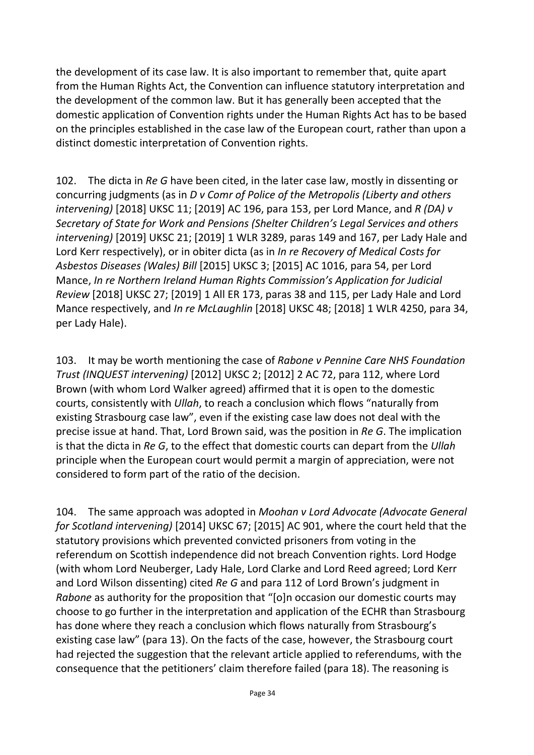the development of its case law. It is also important to remember that, quite apart from the Human Rights Act, the Convention can influence statutory interpretation and the development of the common law. But it has generally been accepted that the domestic application of Convention rights under the Human Rights Act has to be based on the principles established in the case law of the European court, rather than upon a distinct domestic interpretation of Convention rights.

102. The dicta in *Re G* have been cited, in the later case law, mostly in dissenting or concurring judgments (as in *D v Comr of Police of the Metropolis (Liberty and others intervening)* [2018] UKSC 11; [2019] AC 196, para 153, per Lord Mance, and *R (DA) v Secretary of State for Work and Pensions (Shelter Children's Legal Services and others intervening)* [2019] UKSC 21; [2019] 1 WLR 3289, paras 149 and 167, per Lady Hale and Lord Kerr respectively), or in obiter dicta (as in *In re Recovery of Medical Costs for Asbestos Diseases (Wales) Bill* [2015] UKSC 3; [2015] AC 1016, para 54, per Lord Mance, *In re Northern Ireland Human Rights Commission's Application for Judicial Review* [2018] UKSC 27; [2019] 1 All ER 173, paras 38 and 115, per Lady Hale and Lord Mance respectively, and *In re McLaughlin* [2018] UKSC 48; [2018] 1 WLR 4250, para 34, per Lady Hale).

103. It may be worth mentioning the case of *Rabone v Pennine Care NHS Foundation Trust (INQUEST intervening)* [2012] UKSC 2; [2012] 2 AC 72, para 112, where Lord Brown (with whom Lord Walker agreed) affirmed that it is open to the domestic courts, consistently with *Ullah*, to reach a conclusion which flows "naturally from existing Strasbourg case law", even if the existing case law does not deal with the precise issue at hand. That, Lord Brown said, was the position in *Re G*. The implication is that the dicta in *Re G*, to the effect that domestic courts can depart from the *Ullah* principle when the European court would permit a margin of appreciation, were not considered to form part of the ratio of the decision.

104. The same approach was adopted in *Moohan v Lord Advocate (Advocate General for Scotland intervening)* [2014] UKSC 67; [2015] AC 901, where the court held that the statutory provisions which prevented convicted prisoners from voting in the referendum on Scottish independence did not breach Convention rights. Lord Hodge (with whom Lord Neuberger, Lady Hale, Lord Clarke and Lord Reed agreed; Lord Kerr and Lord Wilson dissenting) cited *Re G* and para 112 of Lord Brown's judgment in *Rabone* as authority for the proposition that "[o]n occasion our domestic courts may choose to go further in the interpretation and application of the ECHR than Strasbourg has done where they reach a conclusion which flows naturally from Strasbourg's existing case law" (para 13). On the facts of the case, however, the Strasbourg court had rejected the suggestion that the relevant article applied to referendums, with the consequence that the petitioners' claim therefore failed (para 18). The reasoning is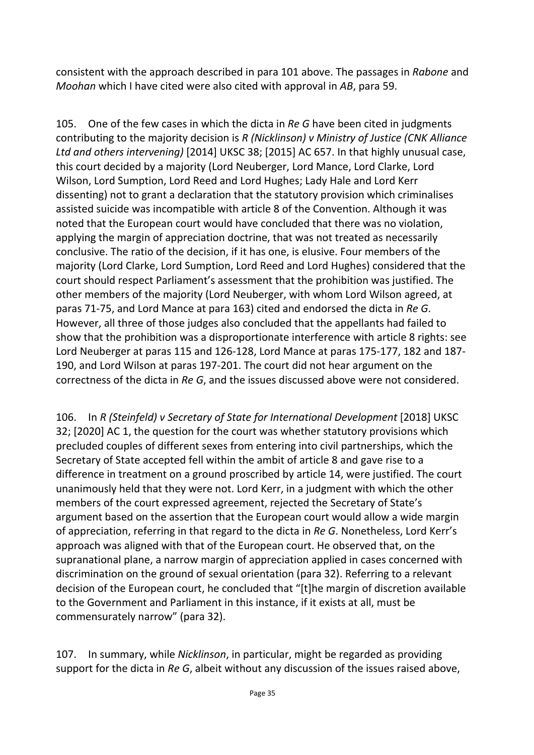consistent with the approach described in para 101 above. The passages in *Rabone* and *Moohan* which I have cited were also cited with approval in *AB*, para 59.

105. One of the few cases in which the dicta in *Re G* have been cited in judgments contributing to the majority decision is *R (Nicklinson) v Ministry of Justice (CNK Alliance Ltd and others intervening)* [2014] UKSC 38; [2015] AC 657. In that highly unusual case, this court decided by a majority (Lord Neuberger, Lord Mance, Lord Clarke, Lord Wilson, Lord Sumption, Lord Reed and Lord Hughes; Lady Hale and Lord Kerr dissenting) not to grant a declaration that the statutory provision which criminalises assisted suicide was incompatible with article 8 of the Convention. Although it was noted that the European court would have concluded that there was no violation, applying the margin of appreciation doctrine, that was not treated as necessarily conclusive. The ratio of the decision, if it has one, is elusive. Four members of the majority (Lord Clarke, Lord Sumption, Lord Reed and Lord Hughes) considered that the court should respect Parliament's assessment that the prohibition was justified. The other members of the majority (Lord Neuberger, with whom Lord Wilson agreed, at paras 71-75, and Lord Mance at para 163) cited and endorsed the dicta in *Re G*. However, all three of those judges also concluded that the appellants had failed to show that the prohibition was a disproportionate interference with article 8 rights: see Lord Neuberger at paras 115 and 126-128, Lord Mance at paras 175-177, 182 and 187- 190, and Lord Wilson at paras 197-201. The court did not hear argument on the correctness of the dicta in *Re G*, and the issues discussed above were not considered.

106. In *R (Steinfeld) v Secretary of State for International Development* [2018] UKSC 32; [2020] AC 1, the question for the court was whether statutory provisions which precluded couples of different sexes from entering into civil partnerships, which the Secretary of State accepted fell within the ambit of article 8 and gave rise to a difference in treatment on a ground proscribed by article 14, were justified. The court unanimously held that they were not. Lord Kerr, in a judgment with which the other members of the court expressed agreement, rejected the Secretary of State's argument based on the assertion that the European court would allow a wide margin of appreciation, referring in that regard to the dicta in *Re G*. Nonetheless, Lord Kerr's approach was aligned with that of the European court. He observed that, on the supranational plane, a narrow margin of appreciation applied in cases concerned with discrimination on the ground of sexual orientation (para 32). Referring to a relevant decision of the European court, he concluded that "[t]he margin of discretion available to the Government and Parliament in this instance, if it exists at all, must be commensurately narrow" (para 32).

107. In summary, while *Nicklinson*, in particular, might be regarded as providing support for the dicta in *Re G*, albeit without any discussion of the issues raised above,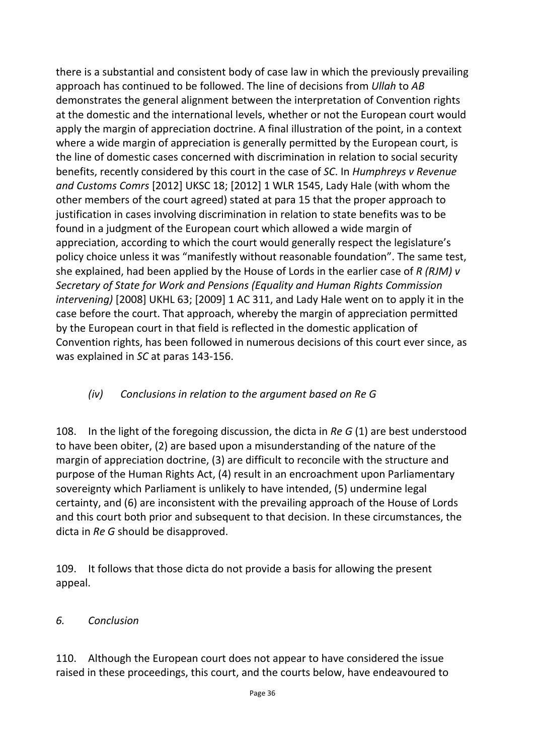there is a substantial and consistent body of case law in which the previously prevailing approach has continued to be followed. The line of decisions from *Ullah* to *AB* demonstrates the general alignment between the interpretation of Convention rights at the domestic and the international levels, whether or not the European court would apply the margin of appreciation doctrine. A final illustration of the point, in a context where a wide margin of appreciation is generally permitted by the European court, is the line of domestic cases concerned with discrimination in relation to social security benefits, recently considered by this court in the case of *SC*. In *Humphreys v Revenue and Customs Comrs* [2012] UKSC 18; [2012] 1 WLR 1545, Lady Hale (with whom the other members of the court agreed) stated at para 15 that the proper approach to justification in cases involving discrimination in relation to state benefits was to be found in a judgment of the European court which allowed a wide margin of appreciation, according to which the court would generally respect the legislature's policy choice unless it was "manifestly without reasonable foundation". The same test, she explained, had been applied by the House of Lords in the earlier case of *R (RJM) v Secretary of State for Work and Pensions (Equality and Human Rights Commission intervening)* [2008] UKHL 63; [2009] 1 AC 311, and Lady Hale went on to apply it in the case before the court. That approach, whereby the margin of appreciation permitted by the European court in that field is reflected in the domestic application of Convention rights, has been followed in numerous decisions of this court ever since, as was explained in *SC* at paras 143-156.

## *(iv) Conclusions in relation to the argument based on Re G*

108. In the light of the foregoing discussion, the dicta in *Re G* (1) are best understood to have been obiter, (2) are based upon a misunderstanding of the nature of the margin of appreciation doctrine, (3) are difficult to reconcile with the structure and purpose of the Human Rights Act, (4) result in an encroachment upon Parliamentary sovereignty which Parliament is unlikely to have intended, (5) undermine legal certainty, and (6) are inconsistent with the prevailing approach of the House of Lords and this court both prior and subsequent to that decision. In these circumstances, the dicta in *Re G* should be disapproved.

109. It follows that those dicta do not provide a basis for allowing the present appeal.

#### *6. Conclusion*

110. Although the European court does not appear to have considered the issue raised in these proceedings, this court, and the courts below, have endeavoured to